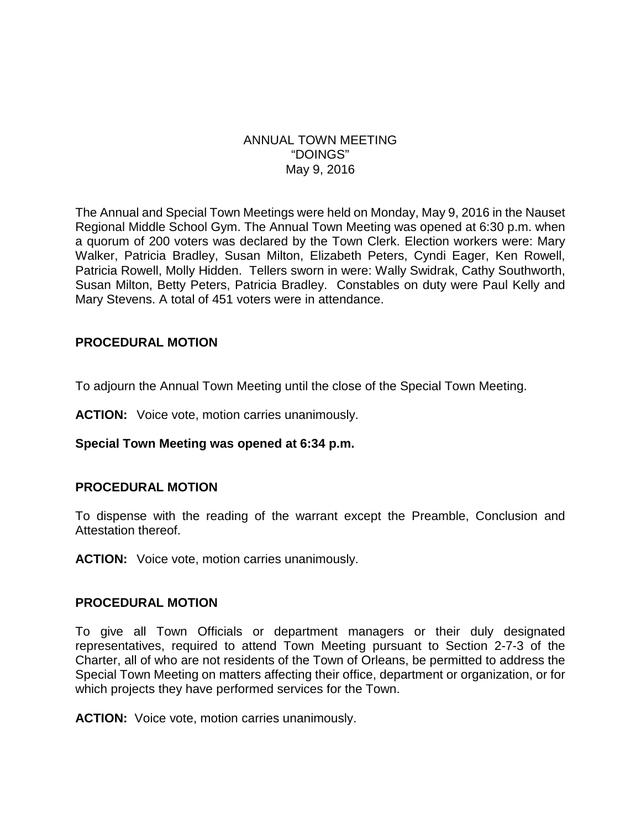### ANNUAL TOWN MEETING "DOINGS" May 9, 2016

The Annual and Special Town Meetings were held on Monday, May 9, 2016 in the Nauset Regional Middle School Gym. The Annual Town Meeting was opened at 6:30 p.m. when a quorum of 200 voters was declared by the Town Clerk. Election workers were: Mary Walker, Patricia Bradley, Susan Milton, Elizabeth Peters, Cyndi Eager, Ken Rowell, Patricia Rowell, Molly Hidden. Tellers sworn in were: Wally Swidrak, Cathy Southworth, Susan Milton, Betty Peters, Patricia Bradley. Constables on duty were Paul Kelly and Mary Stevens. A total of 451 voters were in attendance.

### **PROCEDURAL MOTION**

To adjourn the Annual Town Meeting until the close of the Special Town Meeting.

**ACTION:** Voice vote, motion carries unanimously.

#### **Special Town Meeting was opened at 6:34 p.m.**

#### **PROCEDURAL MOTION**

To dispense with the reading of the warrant except the Preamble, Conclusion and Attestation thereof.

**ACTION:** Voice vote, motion carries unanimously.

#### **PROCEDURAL MOTION**

To give all Town Officials or department managers or their duly designated representatives, required to attend Town Meeting pursuant to Section 2-7-3 of the Charter, all of who are not residents of the Town of Orleans, be permitted to address the Special Town Meeting on matters affecting their office, department or organization, or for which projects they have performed services for the Town.

**ACTION:** Voice vote, motion carries unanimously.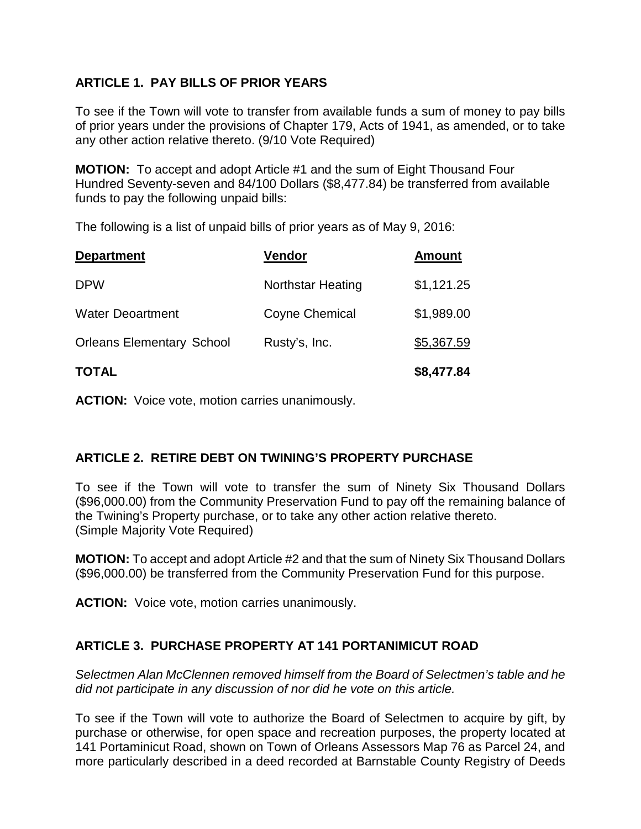## **ARTICLE 1. PAY BILLS OF PRIOR YEARS**

To see if the Town will vote to transfer from available funds a sum of money to pay bills of prior years under the provisions of Chapter 179, Acts of 1941, as amended, or to take any other action relative thereto. (9/10 Vote Required)

**MOTION:** To accept and adopt Article #1 and the sum of Eight Thousand Four Hundred Seventy-seven and 84/100 Dollars (\$8,477.84) be transferred from available funds to pay the following unpaid bills:

The following is a list of unpaid bills of prior years as of May 9, 2016:

| <b>Department</b>                | <b>Vendor</b>            | <b>Amount</b> |
|----------------------------------|--------------------------|---------------|
| <b>DPW</b>                       | <b>Northstar Heating</b> | \$1,121.25    |
| <b>Water Deoartment</b>          | Coyne Chemical           | \$1,989.00    |
| <b>Orleans Elementary School</b> | Rusty's, Inc.            | \$5,367.59    |
| <b>TOTAL</b>                     |                          | \$8,477.84    |

**ACTION:** Voice vote, motion carries unanimously.

## **ARTICLE 2. RETIRE DEBT ON TWINING'S PROPERTY PURCHASE**

To see if the Town will vote to transfer the sum of Ninety Six Thousand Dollars (\$96,000.00) from the Community Preservation Fund to pay off the remaining balance of the Twining's Property purchase, or to take any other action relative thereto. (Simple Majority Vote Required)

**MOTION:** To accept and adopt Article #2 and that the sum of Ninety Six Thousand Dollars (\$96,000.00) be transferred from the Community Preservation Fund for this purpose.

**ACTION:** Voice vote, motion carries unanimously.

## **ARTICLE 3. PURCHASE PROPERTY AT 141 PORTANIMICUT ROAD**

*Selectmen Alan McClennen removed himself from the Board of Selectmen's table and he did not participate in any discussion of nor did he vote on this article.*

To see if the Town will vote to authorize the Board of Selectmen to acquire by gift, by purchase or otherwise, for open space and recreation purposes, the property located at 141 Portaminicut Road, shown on Town of Orleans Assessors Map 76 as Parcel 24, and more particularly described in a deed recorded at Barnstable County Registry of Deeds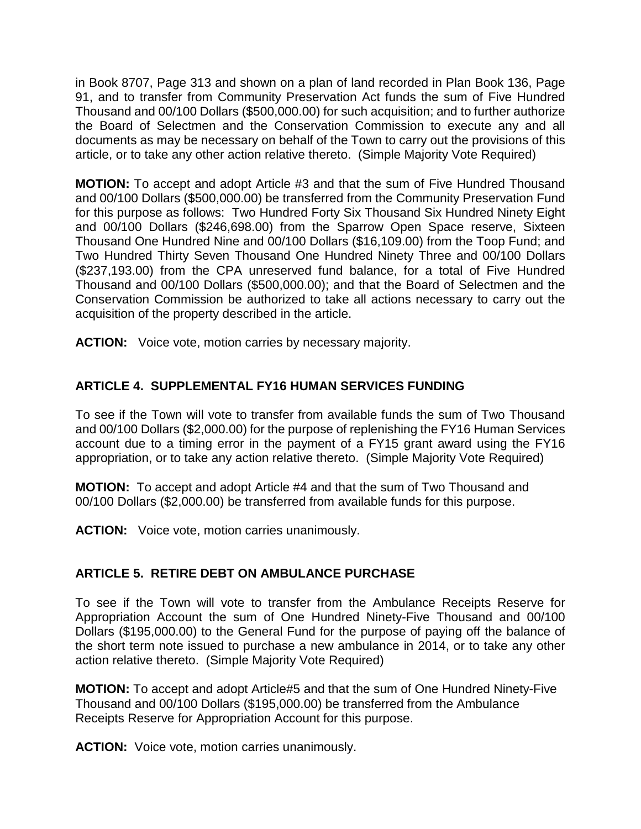in Book 8707, Page 313 and shown on a plan of land recorded in Plan Book 136, Page 91, and to transfer from Community Preservation Act funds the sum of Five Hundred Thousand and 00/100 Dollars (\$500,000.00) for such acquisition; and to further authorize the Board of Selectmen and the Conservation Commission to execute any and all documents as may be necessary on behalf of the Town to carry out the provisions of this article, or to take any other action relative thereto. (Simple Majority Vote Required)

**MOTION:** To accept and adopt Article #3 and that the sum of Five Hundred Thousand and 00/100 Dollars (\$500,000.00) be transferred from the Community Preservation Fund for this purpose as follows: Two Hundred Forty Six Thousand Six Hundred Ninety Eight and 00/100 Dollars (\$246,698.00) from the Sparrow Open Space reserve, Sixteen Thousand One Hundred Nine and 00/100 Dollars (\$16,109.00) from the Toop Fund; and Two Hundred Thirty Seven Thousand One Hundred Ninety Three and 00/100 Dollars (\$237,193.00) from the CPA unreserved fund balance, for a total of Five Hundred Thousand and 00/100 Dollars (\$500,000.00); and that the Board of Selectmen and the Conservation Commission be authorized to take all actions necessary to carry out the acquisition of the property described in the article.

**ACTION:** Voice vote, motion carries by necessary majority.

## **ARTICLE 4. SUPPLEMENTAL FY16 HUMAN SERVICES FUNDING**

To see if the Town will vote to transfer from available funds the sum of Two Thousand and 00/100 Dollars (\$2,000.00) for the purpose of replenishing the FY16 Human Services account due to a timing error in the payment of a FY15 grant award using the FY16 appropriation, or to take any action relative thereto. (Simple Majority Vote Required)

**MOTION:** To accept and adopt Article #4 and that the sum of Two Thousand and 00/100 Dollars (\$2,000.00) be transferred from available funds for this purpose.

**ACTION:** Voice vote, motion carries unanimously.

# **ARTICLE 5. RETIRE DEBT ON AMBULANCE PURCHASE**

To see if the Town will vote to transfer from the Ambulance Receipts Reserve for Appropriation Account the sum of One Hundred Ninety-Five Thousand and 00/100 Dollars (\$195,000.00) to the General Fund for the purpose of paying off the balance of the short term note issued to purchase a new ambulance in 2014, or to take any other action relative thereto. (Simple Majority Vote Required)

**MOTION:** To accept and adopt Article#5 and that the sum of One Hundred Ninety-Five Thousand and 00/100 Dollars (\$195,000.00) be transferred from the Ambulance Receipts Reserve for Appropriation Account for this purpose.

**ACTION:** Voice vote, motion carries unanimously.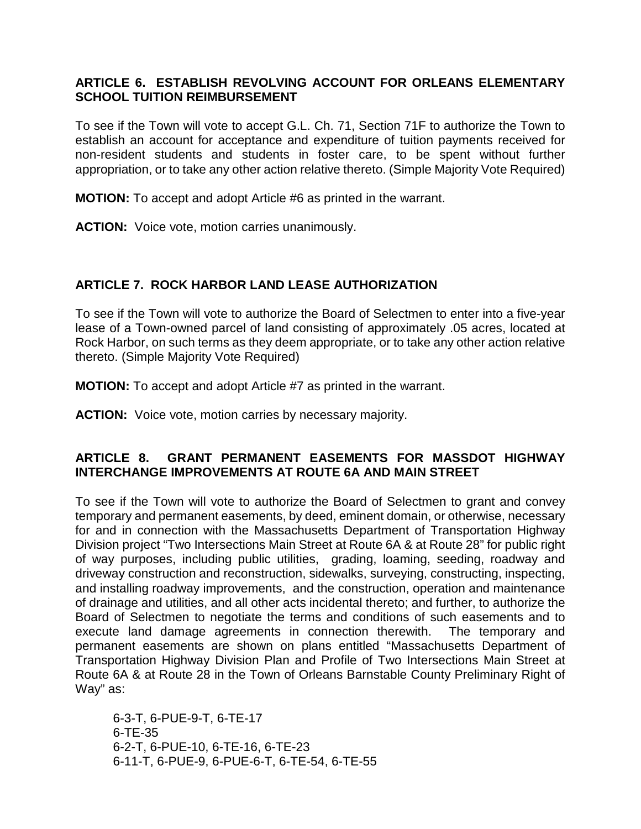### **ARTICLE 6. ESTABLISH REVOLVING ACCOUNT FOR ORLEANS ELEMENTARY SCHOOL TUITION REIMBURSEMENT**

To see if the Town will vote to accept G.L. Ch. 71, Section 71F to authorize the Town to establish an account for acceptance and expenditure of tuition payments received for non-resident students and students in foster care, to be spent without further appropriation, or to take any other action relative thereto. (Simple Majority Vote Required)

**MOTION:** To accept and adopt Article #6 as printed in the warrant.

**ACTION:** Voice vote, motion carries unanimously.

## **ARTICLE 7. ROCK HARBOR LAND LEASE AUTHORIZATION**

To see if the Town will vote to authorize the Board of Selectmen to enter into a five-year lease of a Town-owned parcel of land consisting of approximately .05 acres, located at Rock Harbor, on such terms as they deem appropriate, or to take any other action relative thereto. (Simple Majority Vote Required)

**MOTION:** To accept and adopt Article #7 as printed in the warrant.

**ACTION:** Voice vote, motion carries by necessary majority.

### **ARTICLE 8. GRANT PERMANENT EASEMENTS FOR MASSDOT HIGHWAY INTERCHANGE IMPROVEMENTS AT ROUTE 6A AND MAIN STREET**

To see if the Town will vote to authorize the Board of Selectmen to grant and convey temporary and permanent easements, by deed, eminent domain, or otherwise, necessary for and in connection with the Massachusetts Department of Transportation Highway Division project "Two Intersections Main Street at Route 6A & at Route 28" for public right of way purposes, including public utilities, grading, loaming, seeding, roadway and driveway construction and reconstruction, sidewalks, surveying, constructing, inspecting, and installing roadway improvements, and the construction, operation and maintenance of drainage and utilities, and all other acts incidental thereto; and further, to authorize the Board of Selectmen to negotiate the terms and conditions of such easements and to execute land damage agreements in connection therewith. The temporary and permanent easements are shown on plans entitled "Massachusetts Department of Transportation Highway Division Plan and Profile of Two Intersections Main Street at Route 6A & at Route 28 in the Town of Orleans Barnstable County Preliminary Right of Way" as:

6-3-T, 6-PUE-9-T, 6-TE-17 6-TE-35 6-2-T, 6-PUE-10, 6-TE-16, 6-TE-23 6-11-T, 6-PUE-9, 6-PUE-6-T, 6-TE-54, 6-TE-55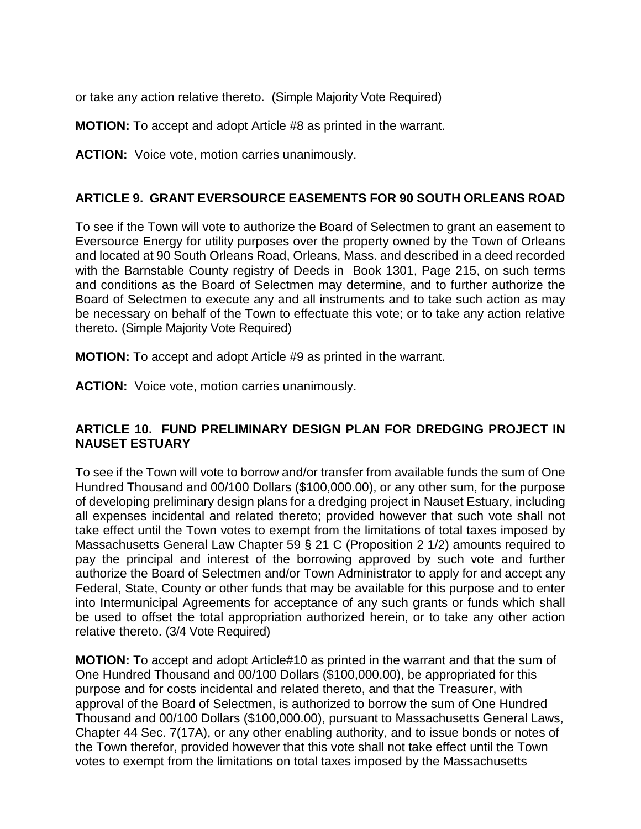or take any action relative thereto. (Simple Majority Vote Required)

**MOTION:** To accept and adopt Article #8 as printed in the warrant.

**ACTION:** Voice vote, motion carries unanimously.

### **ARTICLE 9. GRANT EVERSOURCE EASEMENTS FOR 90 SOUTH ORLEANS ROAD**

To see if the Town will vote to authorize the Board of Selectmen to grant an easement to Eversource Energy for utility purposes over the property owned by the Town of Orleans and located at 90 South Orleans Road, Orleans, Mass. and described in a deed recorded with the Barnstable County registry of Deeds in Book 1301, Page 215, on such terms and conditions as the Board of Selectmen may determine, and to further authorize the Board of Selectmen to execute any and all instruments and to take such action as may be necessary on behalf of the Town to effectuate this vote; or to take any action relative thereto. (Simple Majority Vote Required)

**MOTION:** To accept and adopt Article #9 as printed in the warrant.

**ACTION:** Voice vote, motion carries unanimously.

### **ARTICLE 10. FUND PRELIMINARY DESIGN PLAN FOR DREDGING PROJECT IN NAUSET ESTUARY**

To see if the Town will vote to borrow and/or transfer from available funds the sum of One Hundred Thousand and 00/100 Dollars (\$100,000.00), or any other sum, for the purpose of developing preliminary design plans for a dredging project in Nauset Estuary, including all expenses incidental and related thereto; provided however that such vote shall not take effect until the Town votes to exempt from the limitations of total taxes imposed by Massachusetts General Law Chapter 59 § 21 C (Proposition 2 1/2) amounts required to pay the principal and interest of the borrowing approved by such vote and further authorize the Board of Selectmen and/or Town Administrator to apply for and accept any Federal, State, County or other funds that may be available for this purpose and to enter into Intermunicipal Agreements for acceptance of any such grants or funds which shall be used to offset the total appropriation authorized herein, or to take any other action relative thereto. (3/4 Vote Required)

**MOTION:** To accept and adopt Article#10 as printed in the warrant and that the sum of One Hundred Thousand and 00/100 Dollars (\$100,000.00), be appropriated for this purpose and for costs incidental and related thereto, and that the Treasurer, with approval of the Board of Selectmen, is authorized to borrow the sum of One Hundred Thousand and 00/100 Dollars (\$100,000.00), pursuant to Massachusetts General Laws, Chapter 44 Sec. 7(17A), or any other enabling authority, and to issue bonds or notes of the Town therefor, provided however that this vote shall not take effect until the Town votes to exempt from the limitations on total taxes imposed by the Massachusetts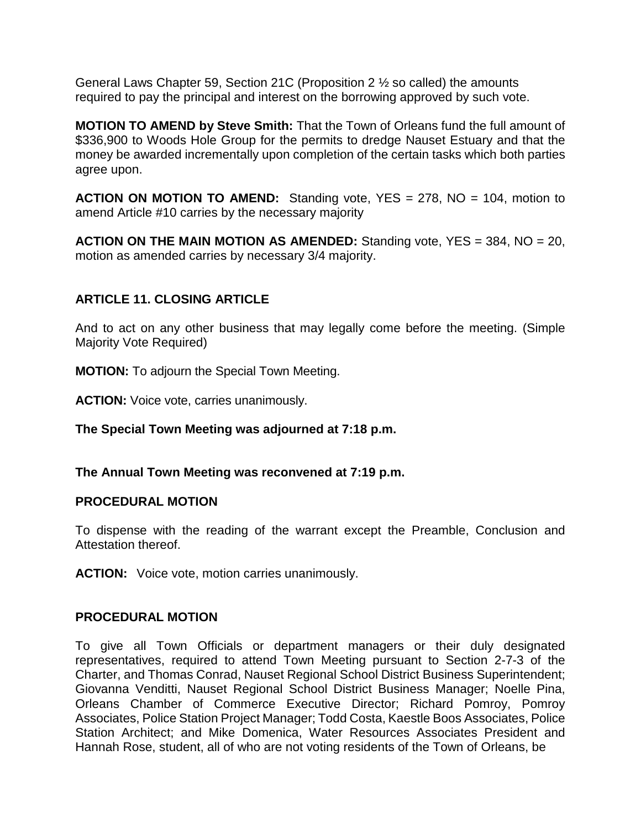General Laws Chapter 59, Section 21C (Proposition 2 ½ so called) the amounts required to pay the principal and interest on the borrowing approved by such vote.

**MOTION TO AMEND by Steve Smith:** That the Town of Orleans fund the full amount of \$336,900 to Woods Hole Group for the permits to dredge Nauset Estuary and that the money be awarded incrementally upon completion of the certain tasks which both parties agree upon.

**ACTION ON MOTION TO AMEND:** Standing vote, YES = 278, NO = 104, motion to amend Article #10 carries by the necessary majority

**ACTION ON THE MAIN MOTION AS AMENDED:** Standing vote, YES = 384, NO = 20, motion as amended carries by necessary 3/4 majority.

## **ARTICLE 11. CLOSING ARTICLE**

And to act on any other business that may legally come before the meeting. (Simple Majority Vote Required)

**MOTION:** To adjourn the Special Town Meeting.

**ACTION:** Voice vote, carries unanimously.

**The Special Town Meeting was adjourned at 7:18 p.m.**

**The Annual Town Meeting was reconvened at 7:19 p.m.**

### **PROCEDURAL MOTION**

To dispense with the reading of the warrant except the Preamble, Conclusion and Attestation thereof.

**ACTION:** Voice vote, motion carries unanimously.

### **PROCEDURAL MOTION**

To give all Town Officials or department managers or their duly designated representatives, required to attend Town Meeting pursuant to Section 2-7-3 of the Charter, and Thomas Conrad, Nauset Regional School District Business Superintendent; Giovanna Venditti, Nauset Regional School District Business Manager; Noelle Pina, Orleans Chamber of Commerce Executive Director; Richard Pomroy, Pomroy Associates, Police Station Project Manager; Todd Costa, Kaestle Boos Associates, Police Station Architect; and Mike Domenica, Water Resources Associates President and Hannah Rose, student, all of who are not voting residents of the Town of Orleans, be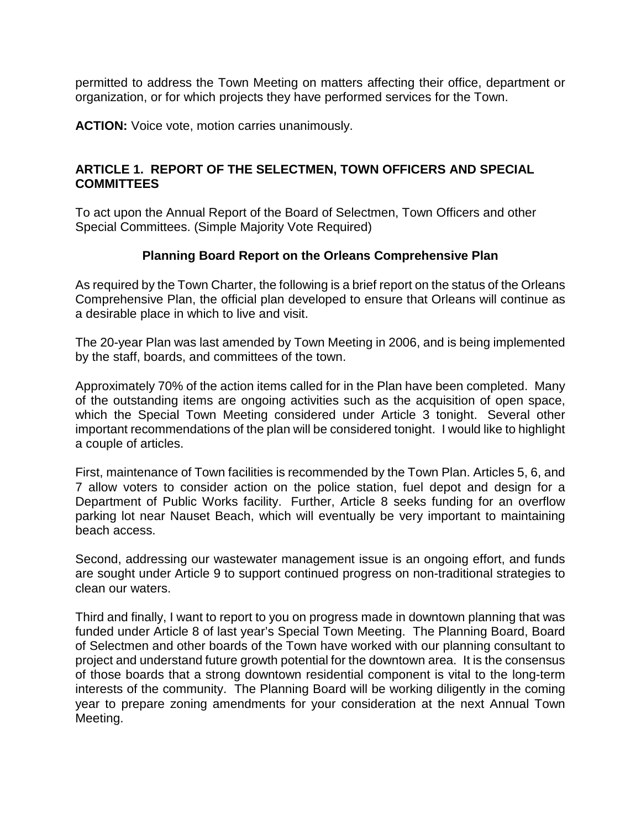permitted to address the Town Meeting on matters affecting their office, department or organization, or for which projects they have performed services for the Town.

**ACTION:** Voice vote, motion carries unanimously.

### **ARTICLE 1. REPORT OF THE SELECTMEN, TOWN OFFICERS AND SPECIAL COMMITTEES**

To act upon the Annual Report of the Board of Selectmen, Town Officers and other Special Committees. (Simple Majority Vote Required)

### **Planning Board Report on the Orleans Comprehensive Plan**

As required by the Town Charter, the following is a brief report on the status of the Orleans Comprehensive Plan, the official plan developed to ensure that Orleans will continue as a desirable place in which to live and visit.

The 20-year Plan was last amended by Town Meeting in 2006, and is being implemented by the staff, boards, and committees of the town.

Approximately 70% of the action items called for in the Plan have been completed. Many of the outstanding items are ongoing activities such as the acquisition of open space, which the Special Town Meeting considered under Article 3 tonight. Several other important recommendations of the plan will be considered tonight. I would like to highlight a couple of articles.

First, maintenance of Town facilities is recommended by the Town Plan. Articles 5, 6, and 7 allow voters to consider action on the police station, fuel depot and design for a Department of Public Works facility. Further, Article 8 seeks funding for an overflow parking lot near Nauset Beach, which will eventually be very important to maintaining beach access.

Second, addressing our wastewater management issue is an ongoing effort, and funds are sought under Article 9 to support continued progress on non-traditional strategies to clean our waters.

Third and finally, I want to report to you on progress made in downtown planning that was funded under Article 8 of last year's Special Town Meeting. The Planning Board, Board of Selectmen and other boards of the Town have worked with our planning consultant to project and understand future growth potential for the downtown area. It is the consensus of those boards that a strong downtown residential component is vital to the long-term interests of the community. The Planning Board will be working diligently in the coming year to prepare zoning amendments for your consideration at the next Annual Town Meeting.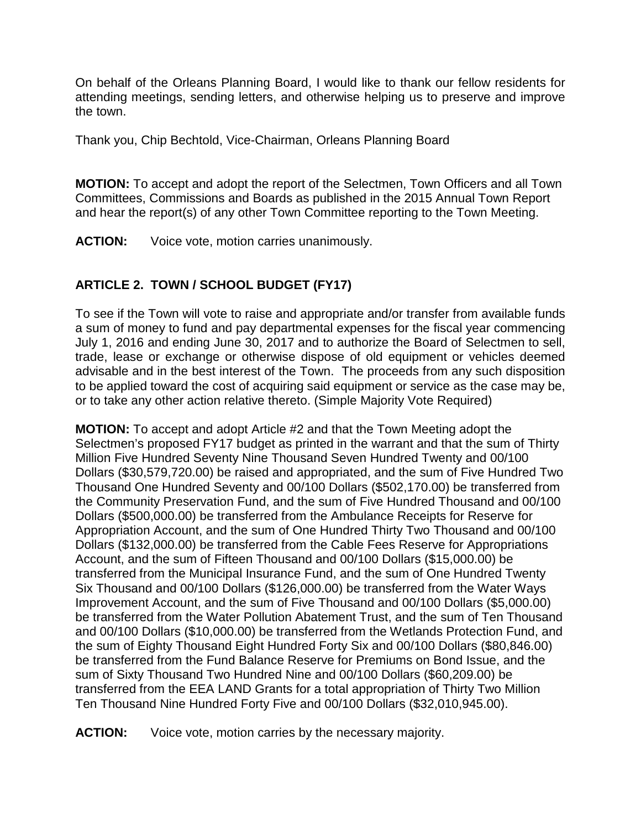On behalf of the Orleans Planning Board, I would like to thank our fellow residents for attending meetings, sending letters, and otherwise helping us to preserve and improve the town.

Thank you, Chip Bechtold, Vice-Chairman, Orleans Planning Board

**MOTION:** To accept and adopt the report of the Selectmen, Town Officers and all Town Committees, Commissions and Boards as published in the 2015 Annual Town Report and hear the report(s) of any other Town Committee reporting to the Town Meeting.

**ACTION:** Voice vote, motion carries unanimously.

# **ARTICLE 2. TOWN / SCHOOL BUDGET (FY17)**

To see if the Town will vote to raise and appropriate and/or transfer from available funds a sum of money to fund and pay departmental expenses for the fiscal year commencing July 1, 2016 and ending June 30, 2017 and to authorize the Board of Selectmen to sell, trade, lease or exchange or otherwise dispose of old equipment or vehicles deemed advisable and in the best interest of the Town. The proceeds from any such disposition to be applied toward the cost of acquiring said equipment or service as the case may be, or to take any other action relative thereto. (Simple Majority Vote Required)

**MOTION:** To accept and adopt Article #2 and that the Town Meeting adopt the Selectmen's proposed FY17 budget as printed in the warrant and that the sum of Thirty Million Five Hundred Seventy Nine Thousand Seven Hundred Twenty and 00/100 Dollars (\$30,579,720.00) be raised and appropriated, and the sum of Five Hundred Two Thousand One Hundred Seventy and 00/100 Dollars (\$502,170.00) be transferred from the Community Preservation Fund, and the sum of Five Hundred Thousand and 00/100 Dollars (\$500,000.00) be transferred from the Ambulance Receipts for Reserve for Appropriation Account, and the sum of One Hundred Thirty Two Thousand and 00/100 Dollars (\$132,000.00) be transferred from the Cable Fees Reserve for Appropriations Account, and the sum of Fifteen Thousand and 00/100 Dollars (\$15,000.00) be transferred from the Municipal Insurance Fund, and the sum of One Hundred Twenty Six Thousand and 00/100 Dollars (\$126,000.00) be transferred from the Water Ways Improvement Account, and the sum of Five Thousand and 00/100 Dollars (\$5,000.00) be transferred from the Water Pollution Abatement Trust, and the sum of Ten Thousand and 00/100 Dollars (\$10,000.00) be transferred from the Wetlands Protection Fund, and the sum of Eighty Thousand Eight Hundred Forty Six and 00/100 Dollars (\$80,846.00) be transferred from the Fund Balance Reserve for Premiums on Bond Issue, and the sum of Sixty Thousand Two Hundred Nine and 00/100 Dollars (\$60,209.00) be transferred from the EEA LAND Grants for a total appropriation of Thirty Two Million Ten Thousand Nine Hundred Forty Five and 00/100 Dollars (\$32,010,945.00).

**ACTION:** Voice vote, motion carries by the necessary majority.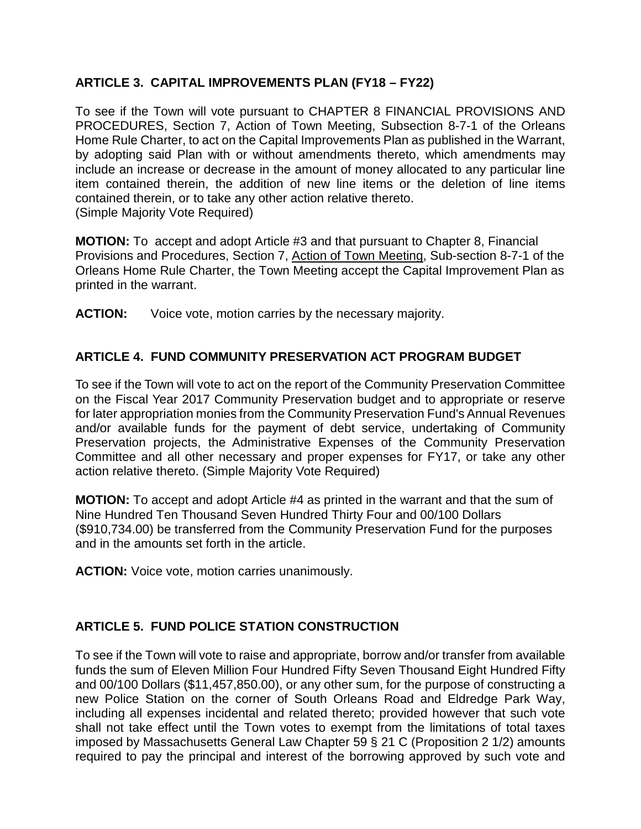## **ARTICLE 3. CAPITAL IMPROVEMENTS PLAN (FY18 – FY22)**

To see if the Town will vote pursuant to CHAPTER 8 FINANCIAL PROVISIONS AND PROCEDURES, Section 7, Action of Town Meeting, Subsection 8-7-1 of the Orleans Home Rule Charter, to act on the Capital Improvements Plan as published in the Warrant, by adopting said Plan with or without amendments thereto, which amendments may include an increase or decrease in the amount of money allocated to any particular line item contained therein, the addition of new line items or the deletion of line items contained therein, or to take any other action relative thereto. (Simple Majority Vote Required)

**MOTION:** To accept and adopt Article #3 and that pursuant to Chapter 8, Financial Provisions and Procedures, Section 7, Action of Town Meeting, Sub-section 8-7-1 of the Orleans Home Rule Charter, the Town Meeting accept the Capital Improvement Plan as printed in the warrant.

**ACTION:** Voice vote, motion carries by the necessary majority.

## **ARTICLE 4. FUND COMMUNITY PRESERVATION ACT PROGRAM BUDGET**

To see if the Town will vote to act on the report of the Community Preservation Committee on the Fiscal Year 2017 Community Preservation budget and to appropriate or reserve for later appropriation monies from the Community Preservation Fund's Annual Revenues and/or available funds for the payment of debt service, undertaking of Community Preservation projects, the Administrative Expenses of the Community Preservation Committee and all other necessary and proper expenses for FY17, or take any other action relative thereto. (Simple Majority Vote Required)

**MOTION:** To accept and adopt Article #4 as printed in the warrant and that the sum of Nine Hundred Ten Thousand Seven Hundred Thirty Four and 00/100 Dollars (\$910,734.00) be transferred from the Community Preservation Fund for the purposes and in the amounts set forth in the article.

**ACTION:** Voice vote, motion carries unanimously.

## **ARTICLE 5. FUND POLICE STATION CONSTRUCTION**

To see if the Town will vote to raise and appropriate, borrow and/or transfer from available funds the sum of Eleven Million Four Hundred Fifty Seven Thousand Eight Hundred Fifty and 00/100 Dollars (\$11,457,850.00), or any other sum, for the purpose of constructing a new Police Station on the corner of South Orleans Road and Eldredge Park Way, including all expenses incidental and related thereto; provided however that such vote shall not take effect until the Town votes to exempt from the limitations of total taxes imposed by Massachusetts General Law Chapter 59 § 21 C (Proposition 2 1/2) amounts required to pay the principal and interest of the borrowing approved by such vote and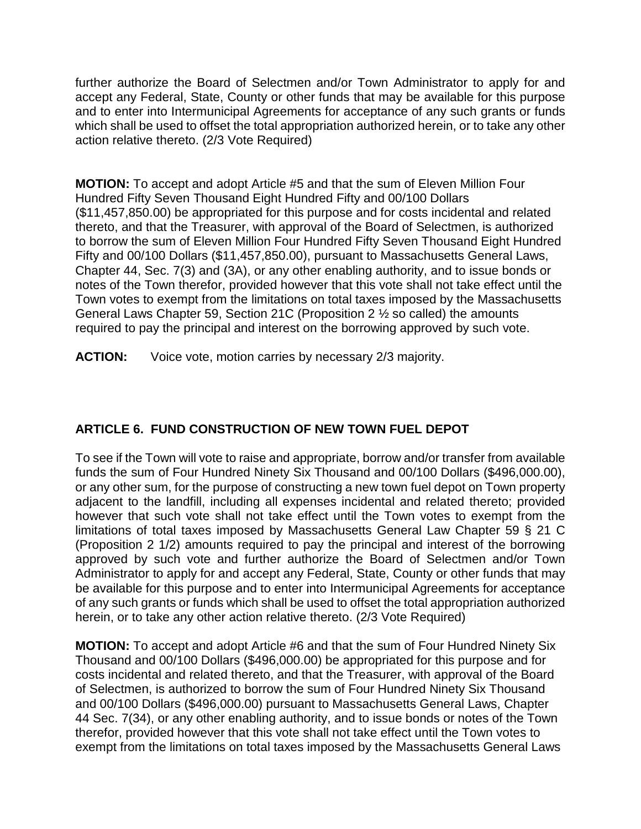further authorize the Board of Selectmen and/or Town Administrator to apply for and accept any Federal, State, County or other funds that may be available for this purpose and to enter into Intermunicipal Agreements for acceptance of any such grants or funds which shall be used to offset the total appropriation authorized herein, or to take any other action relative thereto. (2/3 Vote Required)

**MOTION:** To accept and adopt Article #5 and that the sum of Eleven Million Four Hundred Fifty Seven Thousand Eight Hundred Fifty and 00/100 Dollars (\$11,457,850.00) be appropriated for this purpose and for costs incidental and related thereto, and that the Treasurer, with approval of the Board of Selectmen, is authorized to borrow the sum of Eleven Million Four Hundred Fifty Seven Thousand Eight Hundred Fifty and 00/100 Dollars (\$11,457,850.00), pursuant to Massachusetts General Laws, Chapter 44, Sec. 7(3) and (3A), or any other enabling authority, and to issue bonds or notes of the Town therefor, provided however that this vote shall not take effect until the Town votes to exempt from the limitations on total taxes imposed by the Massachusetts General Laws Chapter 59, Section 21C (Proposition 2 ½ so called) the amounts required to pay the principal and interest on the borrowing approved by such vote.

**ACTION:** Voice vote, motion carries by necessary 2/3 majority.

# **ARTICLE 6. FUND CONSTRUCTION OF NEW TOWN FUEL DEPOT**

To see if the Town will vote to raise and appropriate, borrow and/or transfer from available funds the sum of Four Hundred Ninety Six Thousand and 00/100 Dollars (\$496,000.00), or any other sum, for the purpose of constructing a new town fuel depot on Town property adjacent to the landfill, including all expenses incidental and related thereto; provided however that such vote shall not take effect until the Town votes to exempt from the limitations of total taxes imposed by Massachusetts General Law Chapter 59 § 21 C (Proposition 2 1/2) amounts required to pay the principal and interest of the borrowing approved by such vote and further authorize the Board of Selectmen and/or Town Administrator to apply for and accept any Federal, State, County or other funds that may be available for this purpose and to enter into Intermunicipal Agreements for acceptance of any such grants or funds which shall be used to offset the total appropriation authorized herein, or to take any other action relative thereto. (2/3 Vote Required)

**MOTION:** To accept and adopt Article #6 and that the sum of Four Hundred Ninety Six Thousand and 00/100 Dollars (\$496,000.00) be appropriated for this purpose and for costs incidental and related thereto, and that the Treasurer, with approval of the Board of Selectmen, is authorized to borrow the sum of Four Hundred Ninety Six Thousand and 00/100 Dollars (\$496,000.00) pursuant to Massachusetts General Laws, Chapter 44 Sec. 7(34), or any other enabling authority, and to issue bonds or notes of the Town therefor, provided however that this vote shall not take effect until the Town votes to exempt from the limitations on total taxes imposed by the Massachusetts General Laws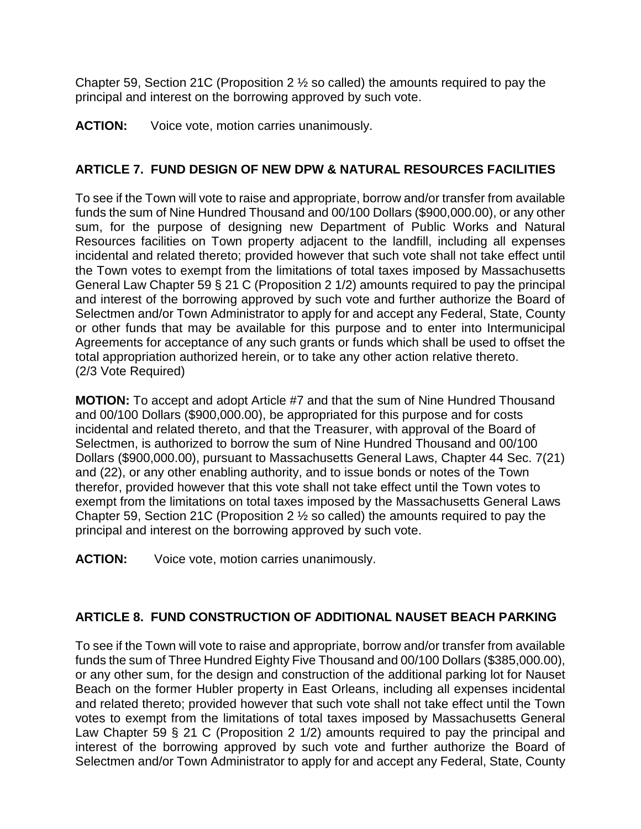Chapter 59, Section 21C (Proposition 2  $\frac{1}{2}$  so called) the amounts required to pay the principal and interest on the borrowing approved by such vote.

**ACTION:** Voice vote, motion carries unanimously.

## **ARTICLE 7. FUND DESIGN OF NEW DPW & NATURAL RESOURCES FACILITIES**

To see if the Town will vote to raise and appropriate, borrow and/or transfer from available funds the sum of Nine Hundred Thousand and 00/100 Dollars (\$900,000.00), or any other sum, for the purpose of designing new Department of Public Works and Natural Resources facilities on Town property adjacent to the landfill, including all expenses incidental and related thereto; provided however that such vote shall not take effect until the Town votes to exempt from the limitations of total taxes imposed by Massachusetts General Law Chapter 59 § 21 C (Proposition 2 1/2) amounts required to pay the principal and interest of the borrowing approved by such vote and further authorize the Board of Selectmen and/or Town Administrator to apply for and accept any Federal, State, County or other funds that may be available for this purpose and to enter into Intermunicipal Agreements for acceptance of any such grants or funds which shall be used to offset the total appropriation authorized herein, or to take any other action relative thereto. (2/3 Vote Required)

**MOTION:** To accept and adopt Article #7 and that the sum of Nine Hundred Thousand and 00/100 Dollars (\$900,000.00), be appropriated for this purpose and for costs incidental and related thereto, and that the Treasurer, with approval of the Board of Selectmen, is authorized to borrow the sum of Nine Hundred Thousand and 00/100 Dollars (\$900,000.00), pursuant to Massachusetts General Laws, Chapter 44 Sec. 7(21) and (22), or any other enabling authority, and to issue bonds or notes of the Town therefor, provided however that this vote shall not take effect until the Town votes to exempt from the limitations on total taxes imposed by the Massachusetts General Laws Chapter 59, Section 21C (Proposition 2 ½ so called) the amounts required to pay the principal and interest on the borrowing approved by such vote.

**ACTION:** Voice vote, motion carries unanimously.

# **ARTICLE 8. FUND CONSTRUCTION OF ADDITIONAL NAUSET BEACH PARKING**

To see if the Town will vote to raise and appropriate, borrow and/or transfer from available funds the sum of Three Hundred Eighty Five Thousand and 00/100 Dollars (\$385,000.00), or any other sum, for the design and construction of the additional parking lot for Nauset Beach on the former Hubler property in East Orleans, including all expenses incidental and related thereto; provided however that such vote shall not take effect until the Town votes to exempt from the limitations of total taxes imposed by Massachusetts General Law Chapter 59 § 21 C (Proposition 2 1/2) amounts required to pay the principal and interest of the borrowing approved by such vote and further authorize the Board of Selectmen and/or Town Administrator to apply for and accept any Federal, State, County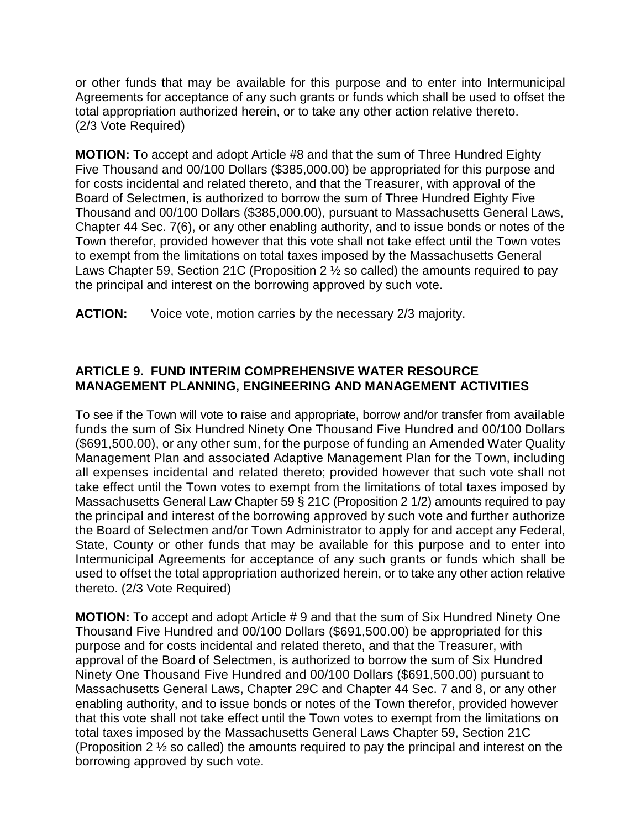or other funds that may be available for this purpose and to enter into Intermunicipal Agreements for acceptance of any such grants or funds which shall be used to offset the total appropriation authorized herein, or to take any other action relative thereto. (2/3 Vote Required)

**MOTION:** To accept and adopt Article #8 and that the sum of Three Hundred Eighty Five Thousand and 00/100 Dollars (\$385,000.00) be appropriated for this purpose and for costs incidental and related thereto, and that the Treasurer, with approval of the Board of Selectmen, is authorized to borrow the sum of Three Hundred Eighty Five Thousand and 00/100 Dollars (\$385,000.00), pursuant to Massachusetts General Laws, Chapter 44 Sec. 7(6), or any other enabling authority, and to issue bonds or notes of the Town therefor, provided however that this vote shall not take effect until the Town votes to exempt from the limitations on total taxes imposed by the Massachusetts General Laws Chapter 59, Section 21C (Proposition 2  $\frac{1}{2}$  so called) the amounts required to pay the principal and interest on the borrowing approved by such vote.

**ACTION:** Voice vote, motion carries by the necessary 2/3 majority.

## **ARTICLE 9. FUND INTERIM COMPREHENSIVE WATER RESOURCE MANAGEMENT PLANNING, ENGINEERING AND MANAGEMENT ACTIVITIES**

To see if the Town will vote to raise and appropriate, borrow and/or transfer from available funds the sum of Six Hundred Ninety One Thousand Five Hundred and 00/100 Dollars (\$691,500.00), or any other sum, for the purpose of funding an Amended Water Quality Management Plan and associated Adaptive Management Plan for the Town, including all expenses incidental and related thereto; provided however that such vote shall not take effect until the Town votes to exempt from the limitations of total taxes imposed by Massachusetts General Law Chapter 59 § 21C (Proposition 2 1/2) amounts required to pay the principal and interest of the borrowing approved by such vote and further authorize the Board of Selectmen and/or Town Administrator to apply for and accept any Federal, State, County or other funds that may be available for this purpose and to enter into Intermunicipal Agreements for acceptance of any such grants or funds which shall be used to offset the total appropriation authorized herein, or to take any other action relative thereto. (2/3 Vote Required)

**MOTION:** To accept and adopt Article # 9 and that the sum of Six Hundred Ninety One Thousand Five Hundred and 00/100 Dollars (\$691,500.00) be appropriated for this purpose and for costs incidental and related thereto, and that the Treasurer, with approval of the Board of Selectmen, is authorized to borrow the sum of Six Hundred Ninety One Thousand Five Hundred and 00/100 Dollars (\$691,500.00) pursuant to Massachusetts General Laws, Chapter 29C and Chapter 44 Sec. 7 and 8, or any other enabling authority, and to issue bonds or notes of the Town therefor, provided however that this vote shall not take effect until the Town votes to exempt from the limitations on total taxes imposed by the Massachusetts General Laws Chapter 59, Section 21C (Proposition 2 ½ so called) the amounts required to pay the principal and interest on the borrowing approved by such vote.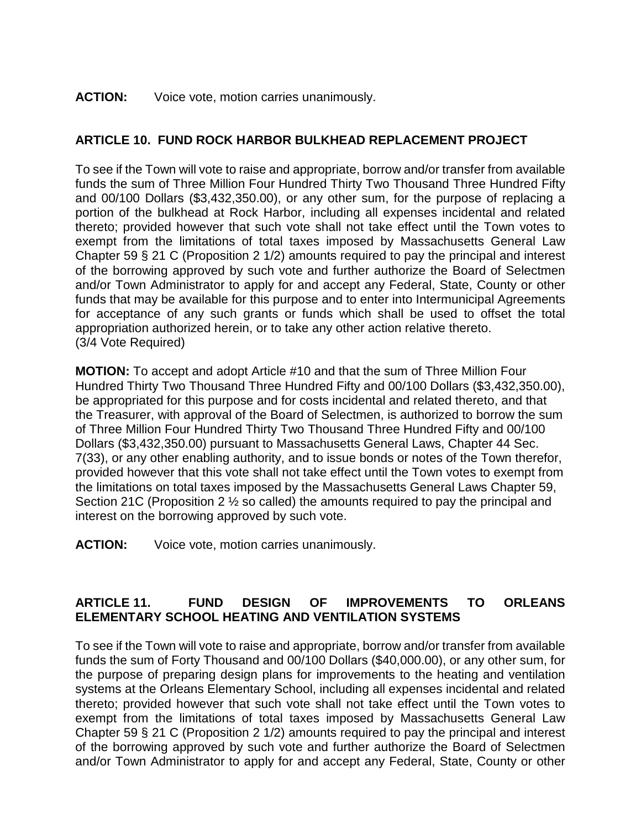### ACTION: Voice vote, motion carries unanimously.

## **ARTICLE 10. FUND ROCK HARBOR BULKHEAD REPLACEMENT PROJECT**

To see if the Town will vote to raise and appropriate, borrow and/or transfer from available funds the sum of Three Million Four Hundred Thirty Two Thousand Three Hundred Fifty and 00/100 Dollars (\$3,432,350.00), or any other sum, for the purpose of replacing a portion of the bulkhead at Rock Harbor, including all expenses incidental and related thereto; provided however that such vote shall not take effect until the Town votes to exempt from the limitations of total taxes imposed by Massachusetts General Law Chapter 59 § 21 C (Proposition 2 1/2) amounts required to pay the principal and interest of the borrowing approved by such vote and further authorize the Board of Selectmen and/or Town Administrator to apply for and accept any Federal, State, County or other funds that may be available for this purpose and to enter into Intermunicipal Agreements for acceptance of any such grants or funds which shall be used to offset the total appropriation authorized herein, or to take any other action relative thereto. (3/4 Vote Required)

**MOTION:** To accept and adopt Article #10 and that the sum of Three Million Four Hundred Thirty Two Thousand Three Hundred Fifty and 00/100 Dollars (\$3,432,350.00), be appropriated for this purpose and for costs incidental and related thereto, and that the Treasurer, with approval of the Board of Selectmen, is authorized to borrow the sum of Three Million Four Hundred Thirty Two Thousand Three Hundred Fifty and 00/100 Dollars (\$3,432,350.00) pursuant to Massachusetts General Laws, Chapter 44 Sec. 7(33), or any other enabling authority, and to issue bonds or notes of the Town therefor, provided however that this vote shall not take effect until the Town votes to exempt from the limitations on total taxes imposed by the Massachusetts General Laws Chapter 59, Section 21C (Proposition 2 ½ so called) the amounts required to pay the principal and interest on the borrowing approved by such vote.

**ACTION:** Voice vote, motion carries unanimously.

## **ARTICLE 11. FUND DESIGN OF IMPROVEMENTS TO ORLEANS ELEMENTARY SCHOOL HEATING AND VENTILATION SYSTEMS**

To see if the Town will vote to raise and appropriate, borrow and/or transfer from available funds the sum of Forty Thousand and 00/100 Dollars (\$40,000.00), or any other sum, for the purpose of preparing design plans for improvements to the heating and ventilation systems at the Orleans Elementary School, including all expenses incidental and related thereto; provided however that such vote shall not take effect until the Town votes to exempt from the limitations of total taxes imposed by Massachusetts General Law Chapter 59 § 21 C (Proposition 2 1/2) amounts required to pay the principal and interest of the borrowing approved by such vote and further authorize the Board of Selectmen and/or Town Administrator to apply for and accept any Federal, State, County or other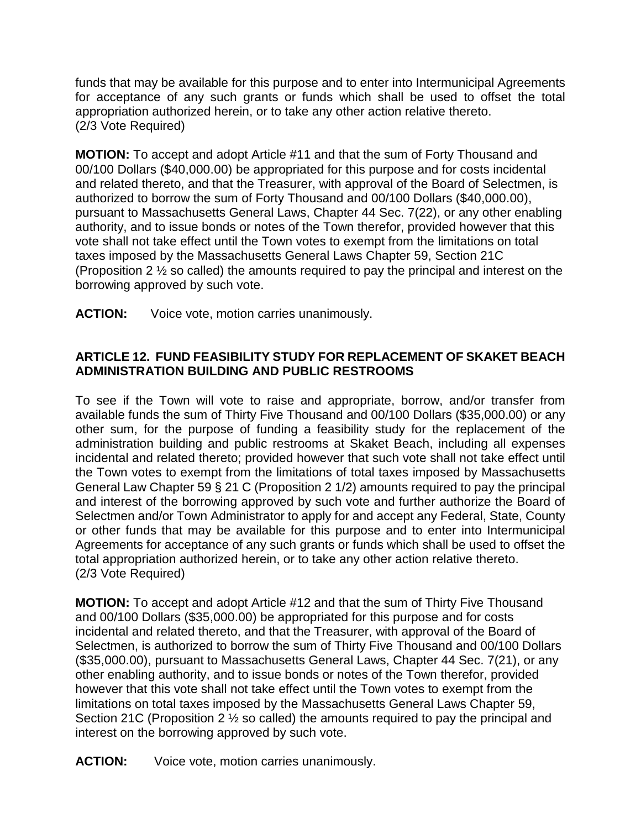funds that may be available for this purpose and to enter into Intermunicipal Agreements for acceptance of any such grants or funds which shall be used to offset the total appropriation authorized herein, or to take any other action relative thereto. (2/3 Vote Required)

**MOTION:** To accept and adopt Article #11 and that the sum of Forty Thousand and 00/100 Dollars (\$40,000.00) be appropriated for this purpose and for costs incidental and related thereto, and that the Treasurer, with approval of the Board of Selectmen, is authorized to borrow the sum of Forty Thousand and 00/100 Dollars (\$40,000.00), pursuant to Massachusetts General Laws, Chapter 44 Sec. 7(22), or any other enabling authority, and to issue bonds or notes of the Town therefor, provided however that this vote shall not take effect until the Town votes to exempt from the limitations on total taxes imposed by the Massachusetts General Laws Chapter 59, Section 21C (Proposition 2 ½ so called) the amounts required to pay the principal and interest on the borrowing approved by such vote.

**ACTION:** Voice vote, motion carries unanimously.

## **ARTICLE 12. FUND FEASIBILITY STUDY FOR REPLACEMENT OF SKAKET BEACH ADMINISTRATION BUILDING AND PUBLIC RESTROOMS**

To see if the Town will vote to raise and appropriate, borrow, and/or transfer from available funds the sum of Thirty Five Thousand and 00/100 Dollars (\$35,000.00) or any other sum, for the purpose of funding a feasibility study for the replacement of the administration building and public restrooms at Skaket Beach, including all expenses incidental and related thereto; provided however that such vote shall not take effect until the Town votes to exempt from the limitations of total taxes imposed by Massachusetts General Law Chapter 59 § 21 C (Proposition 2 1/2) amounts required to pay the principal and interest of the borrowing approved by such vote and further authorize the Board of Selectmen and/or Town Administrator to apply for and accept any Federal, State, County or other funds that may be available for this purpose and to enter into Intermunicipal Agreements for acceptance of any such grants or funds which shall be used to offset the total appropriation authorized herein, or to take any other action relative thereto. (2/3 Vote Required)

**MOTION:** To accept and adopt Article #12 and that the sum of Thirty Five Thousand and 00/100 Dollars (\$35,000.00) be appropriated for this purpose and for costs incidental and related thereto, and that the Treasurer, with approval of the Board of Selectmen, is authorized to borrow the sum of Thirty Five Thousand and 00/100 Dollars (\$35,000.00), pursuant to Massachusetts General Laws, Chapter 44 Sec. 7(21), or any other enabling authority, and to issue bonds or notes of the Town therefor, provided however that this vote shall not take effect until the Town votes to exempt from the limitations on total taxes imposed by the Massachusetts General Laws Chapter 59, Section 21C (Proposition 2 ½ so called) the amounts required to pay the principal and interest on the borrowing approved by such vote.

**ACTION:** Voice vote, motion carries unanimously.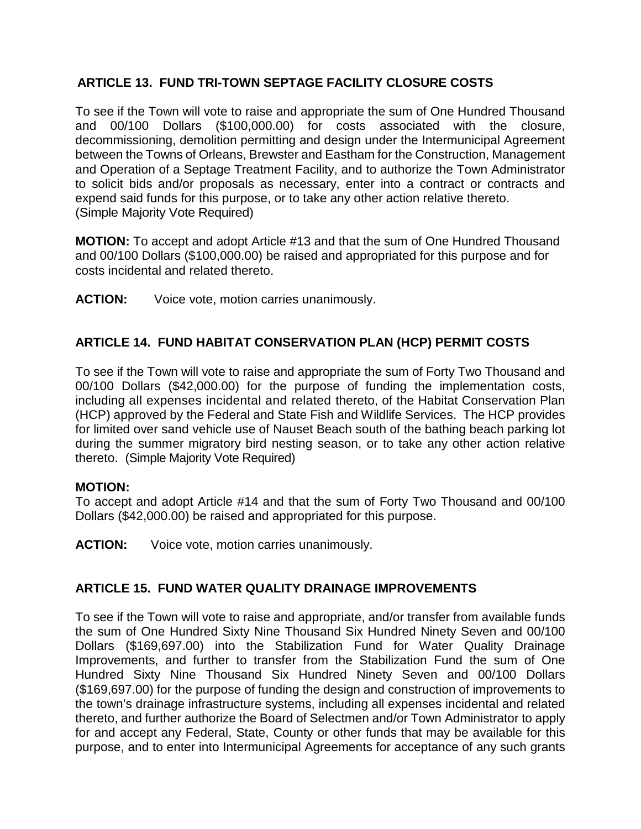## **ARTICLE 13. FUND TRI-TOWN SEPTAGE FACILITY CLOSURE COSTS**

To see if the Town will vote to raise and appropriate the sum of One Hundred Thousand and 00/100 Dollars (\$100,000.00) for costs associated with the closure, decommissioning, demolition permitting and design under the Intermunicipal Agreement between the Towns of Orleans, Brewster and Eastham for the Construction, Management and Operation of a Septage Treatment Facility, and to authorize the Town Administrator to solicit bids and/or proposals as necessary, enter into a contract or contracts and expend said funds for this purpose, or to take any other action relative thereto. (Simple Majority Vote Required)

**MOTION:** To accept and adopt Article #13 and that the sum of One Hundred Thousand and 00/100 Dollars (\$100,000.00) be raised and appropriated for this purpose and for costs incidental and related thereto.

**ACTION:** Voice vote, motion carries unanimously.

## **ARTICLE 14. FUND HABITAT CONSERVATION PLAN (HCP) PERMIT COSTS**

To see if the Town will vote to raise and appropriate the sum of Forty Two Thousand and 00/100 Dollars (\$42,000.00) for the purpose of funding the implementation costs, including all expenses incidental and related thereto, of the Habitat Conservation Plan (HCP) approved by the Federal and State Fish and Wildlife Services. The HCP provides for limited over sand vehicle use of Nauset Beach south of the bathing beach parking lot during the summer migratory bird nesting season, or to take any other action relative thereto. (Simple Majority Vote Required)

### **MOTION:**

To accept and adopt Article #14 and that the sum of Forty Two Thousand and 00/100 Dollars (\$42,000.00) be raised and appropriated for this purpose.

**ACTION:** Voice vote, motion carries unanimously.

### **ARTICLE 15. FUND WATER QUALITY DRAINAGE IMPROVEMENTS**

To see if the Town will vote to raise and appropriate, and/or transfer from available funds the sum of One Hundred Sixty Nine Thousand Six Hundred Ninety Seven and 00/100 Dollars (\$169,697.00) into the Stabilization Fund for Water Quality Drainage Improvements, and further to transfer from the Stabilization Fund the sum of One Hundred Sixty Nine Thousand Six Hundred Ninety Seven and 00/100 Dollars (\$169,697.00) for the purpose of funding the design and construction of improvements to the town's drainage infrastructure systems, including all expenses incidental and related thereto, and further authorize the Board of Selectmen and/or Town Administrator to apply for and accept any Federal, State, County or other funds that may be available for this purpose, and to enter into Intermunicipal Agreements for acceptance of any such grants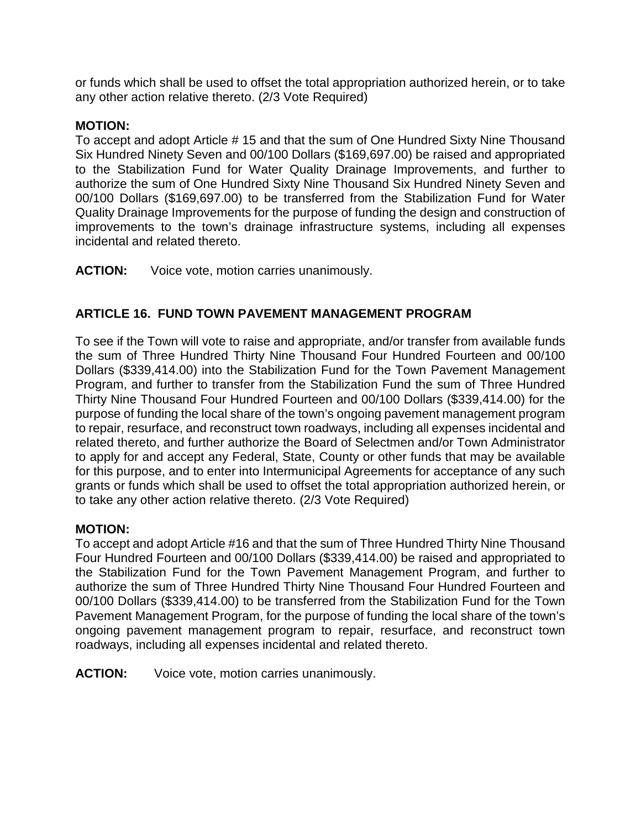or funds which shall be used to offset the total appropriation authorized herein, or to take any other action relative thereto. (2/3 Vote Required)

### **MOTION:**

To accept and adopt Article # 15 and that the sum of One Hundred Sixty Nine Thousand Six Hundred Ninety Seven and 00/100 Dollars (\$169,697.00) be raised and appropriated to the Stabilization Fund for Water Quality Drainage Improvements, and further to authorize the sum of One Hundred Sixty Nine Thousand Six Hundred Ninety Seven and 00/100 Dollars (\$169,697.00) to be transferred from the Stabilization Fund for Water Quality Drainage Improvements for the purpose of funding the design and construction of improvements to the town's drainage infrastructure systems, including all expenses incidental and related thereto.

**ACTION:** Voice vote, motion carries unanimously.

## **ARTICLE 16. FUND TOWN PAVEMENT MANAGEMENT PROGRAM**

To see if the Town will vote to raise and appropriate, and/or transfer from available funds the sum of Three Hundred Thirty Nine Thousand Four Hundred Fourteen and 00/100 Dollars (\$339,414.00) into the Stabilization Fund for the Town Pavement Management Program, and further to transfer from the Stabilization Fund the sum of Three Hundred Thirty Nine Thousand Four Hundred Fourteen and 00/100 Dollars (\$339,414.00) for the purpose of funding the local share of the town's ongoing pavement management program to repair, resurface, and reconstruct town roadways, including all expenses incidental and related thereto, and further authorize the Board of Selectmen and/or Town Administrator to apply for and accept any Federal, State, County or other funds that may be available for this purpose, and to enter into Intermunicipal Agreements for acceptance of any such grants or funds which shall be used to offset the total appropriation authorized herein, or to take any other action relative thereto. (2/3 Vote Required)

### **MOTION:**

To accept and adopt Article #16 and that the sum of Three Hundred Thirty Nine Thousand Four Hundred Fourteen and 00/100 Dollars (\$339,414.00) be raised and appropriated to the Stabilization Fund for the Town Pavement Management Program, and further to authorize the sum of Three Hundred Thirty Nine Thousand Four Hundred Fourteen and 00/100 Dollars (\$339,414.00) to be transferred from the Stabilization Fund for the Town Pavement Management Program, for the purpose of funding the local share of the town's ongoing pavement management program to repair, resurface, and reconstruct town roadways, including all expenses incidental and related thereto.

**ACTION:** Voice vote, motion carries unanimously.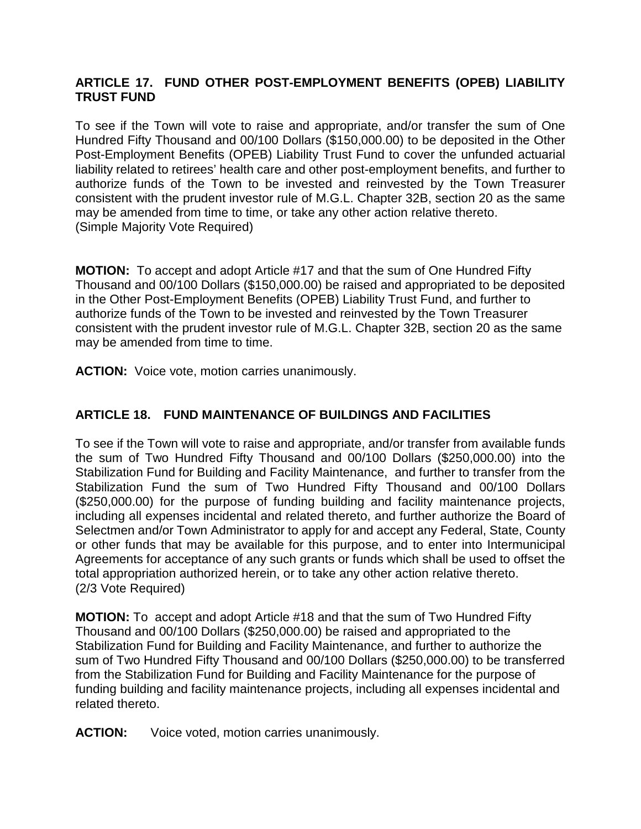## **ARTICLE 17. FUND OTHER POST-EMPLOYMENT BENEFITS (OPEB) LIABILITY TRUST FUND**

To see if the Town will vote to raise and appropriate, and/or transfer the sum of One Hundred Fifty Thousand and 00/100 Dollars (\$150,000.00) to be deposited in the Other Post-Employment Benefits (OPEB) Liability Trust Fund to cover the unfunded actuarial liability related to retirees' health care and other post-employment benefits, and further to authorize funds of the Town to be invested and reinvested by the Town Treasurer consistent with the prudent investor rule of M.G.L. Chapter 32B, section 20 as the same may be amended from time to time, or take any other action relative thereto. (Simple Majority Vote Required)

**MOTION:** To accept and adopt Article #17 and that the sum of One Hundred Fifty Thousand and 00/100 Dollars (\$150,000.00) be raised and appropriated to be deposited in the Other Post-Employment Benefits (OPEB) Liability Trust Fund, and further to authorize funds of the Town to be invested and reinvested by the Town Treasurer consistent with the prudent investor rule of M.G.L. Chapter 32B, section 20 as the same may be amended from time to time.

**ACTION:** Voice vote, motion carries unanimously.

# **ARTICLE 18. FUND MAINTENANCE OF BUILDINGS AND FACILITIES**

To see if the Town will vote to raise and appropriate, and/or transfer from available funds the sum of Two Hundred Fifty Thousand and 00/100 Dollars (\$250,000.00) into the Stabilization Fund for Building and Facility Maintenance, and further to transfer from the Stabilization Fund the sum of Two Hundred Fifty Thousand and 00/100 Dollars (\$250,000.00) for the purpose of funding building and facility maintenance projects, including all expenses incidental and related thereto, and further authorize the Board of Selectmen and/or Town Administrator to apply for and accept any Federal, State, County or other funds that may be available for this purpose, and to enter into Intermunicipal Agreements for acceptance of any such grants or funds which shall be used to offset the total appropriation authorized herein, or to take any other action relative thereto. (2/3 Vote Required)

**MOTION:** To accept and adopt Article #18 and that the sum of Two Hundred Fifty Thousand and 00/100 Dollars (\$250,000.00) be raised and appropriated to the Stabilization Fund for Building and Facility Maintenance, and further to authorize the sum of Two Hundred Fifty Thousand and 00/100 Dollars (\$250,000.00) to be transferred from the Stabilization Fund for Building and Facility Maintenance for the purpose of funding building and facility maintenance projects, including all expenses incidental and related thereto.

**ACTION:** Voice voted, motion carries unanimously.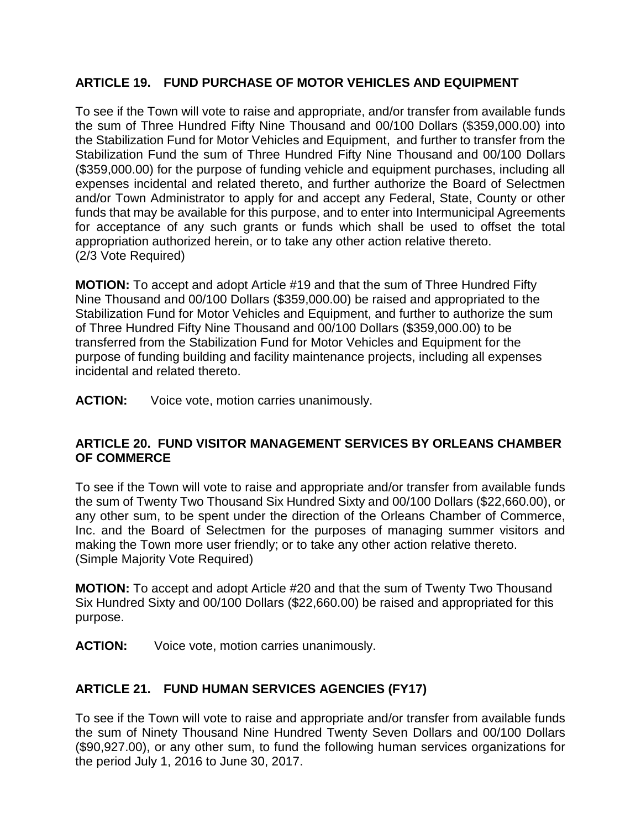## **ARTICLE 19. FUND PURCHASE OF MOTOR VEHICLES AND EQUIPMENT**

To see if the Town will vote to raise and appropriate, and/or transfer from available funds the sum of Three Hundred Fifty Nine Thousand and 00/100 Dollars (\$359,000.00) into the Stabilization Fund for Motor Vehicles and Equipment, and further to transfer from the Stabilization Fund the sum of Three Hundred Fifty Nine Thousand and 00/100 Dollars (\$359,000.00) for the purpose of funding vehicle and equipment purchases, including all expenses incidental and related thereto, and further authorize the Board of Selectmen and/or Town Administrator to apply for and accept any Federal, State, County or other funds that may be available for this purpose, and to enter into Intermunicipal Agreements for acceptance of any such grants or funds which shall be used to offset the total appropriation authorized herein, or to take any other action relative thereto. (2/3 Vote Required)

**MOTION:** To accept and adopt Article #19 and that the sum of Three Hundred Fifty Nine Thousand and 00/100 Dollars (\$359,000.00) be raised and appropriated to the Stabilization Fund for Motor Vehicles and Equipment, and further to authorize the sum of Three Hundred Fifty Nine Thousand and 00/100 Dollars (\$359,000.00) to be transferred from the Stabilization Fund for Motor Vehicles and Equipment for the purpose of funding building and facility maintenance projects, including all expenses incidental and related thereto.

**ACTION:** Voice vote, motion carries unanimously.

### **ARTICLE 20. FUND VISITOR MANAGEMENT SERVICES BY ORLEANS CHAMBER OF COMMERCE**

To see if the Town will vote to raise and appropriate and/or transfer from available funds the sum of Twenty Two Thousand Six Hundred Sixty and 00/100 Dollars (\$22,660.00), or any other sum, to be spent under the direction of the Orleans Chamber of Commerce, Inc. and the Board of Selectmen for the purposes of managing summer visitors and making the Town more user friendly; or to take any other action relative thereto. (Simple Majority Vote Required)

**MOTION:** To accept and adopt Article #20 and that the sum of Twenty Two Thousand Six Hundred Sixty and 00/100 Dollars (\$22,660.00) be raised and appropriated for this purpose.

**ACTION:** Voice vote, motion carries unanimously.

## **ARTICLE 21. FUND HUMAN SERVICES AGENCIES (FY17)**

To see if the Town will vote to raise and appropriate and/or transfer from available funds the sum of Ninety Thousand Nine Hundred Twenty Seven Dollars and 00/100 Dollars (\$90,927.00), or any other sum, to fund the following human services organizations for the period July 1, 2016 to June 30, 2017.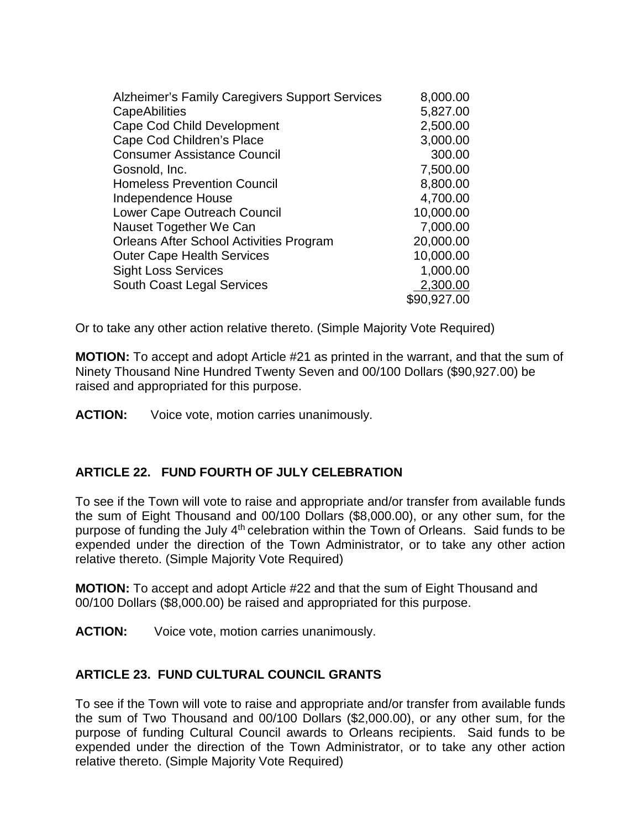| Alzheimer's Family Caregivers Support Services | 8,000.00    |
|------------------------------------------------|-------------|
| CapeAbilities                                  | 5,827.00    |
| <b>Cape Cod Child Development</b>              | 2,500.00    |
| Cape Cod Children's Place                      | 3,000.00    |
| <b>Consumer Assistance Council</b>             | 300.00      |
| Gosnold, Inc.                                  | 7,500.00    |
| <b>Homeless Prevention Council</b>             | 8,800.00    |
| <b>Independence House</b>                      | 4,700.00    |
| Lower Cape Outreach Council                    | 10,000.00   |
| Nauset Together We Can                         | 7,000.00    |
| <b>Orleans After School Activities Program</b> | 20,000.00   |
| <b>Outer Cape Health Services</b>              | 10,000.00   |
| <b>Sight Loss Services</b>                     | 1,000.00    |
| South Coast Legal Services                     | 2,300.00    |
|                                                | \$90,927.00 |
|                                                |             |

Or to take any other action relative thereto. (Simple Majority Vote Required)

**MOTION:** To accept and adopt Article #21 as printed in the warrant, and that the sum of Ninety Thousand Nine Hundred Twenty Seven and 00/100 Dollars (\$90,927.00) be raised and appropriated for this purpose.

**ACTION:** Voice vote, motion carries unanimously.

## **ARTICLE 22. FUND FOURTH OF JULY CELEBRATION**

To see if the Town will vote to raise and appropriate and/or transfer from available funds the sum of Eight Thousand and 00/100 Dollars (\$8,000.00), or any other sum, for the purpose of funding the July 4<sup>th</sup> celebration within the Town of Orleans. Said funds to be expended under the direction of the Town Administrator, or to take any other action relative thereto. (Simple Majority Vote Required)

**MOTION:** To accept and adopt Article #22 and that the sum of Eight Thousand and 00/100 Dollars (\$8,000.00) be raised and appropriated for this purpose.

**ACTION:** Voice vote, motion carries unanimously.

### **ARTICLE 23. FUND CULTURAL COUNCIL GRANTS**

To see if the Town will vote to raise and appropriate and/or transfer from available funds the sum of Two Thousand and 00/100 Dollars (\$2,000.00), or any other sum, for the purpose of funding Cultural Council awards to Orleans recipients. Said funds to be expended under the direction of the Town Administrator, or to take any other action relative thereto. (Simple Majority Vote Required)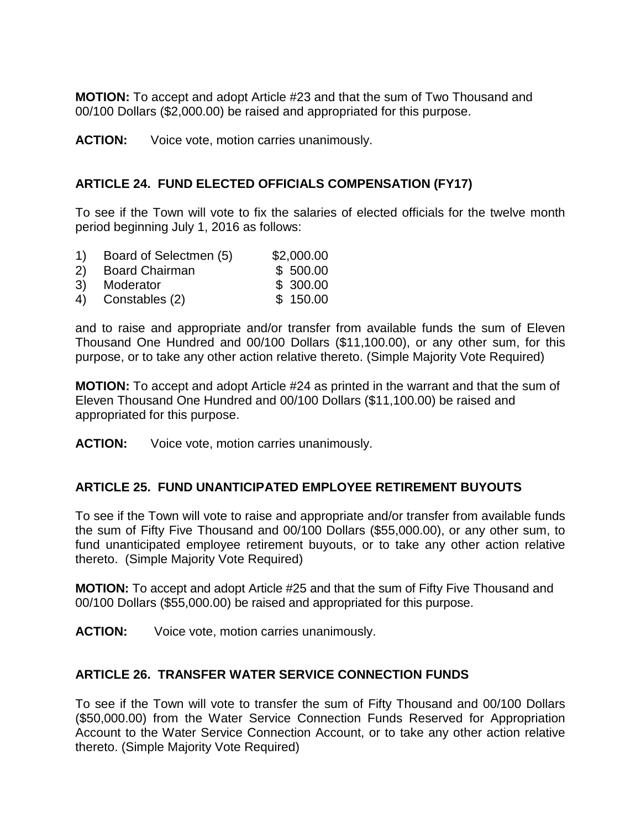**MOTION:** To accept and adopt Article #23 and that the sum of Two Thousand and 00/100 Dollars (\$2,000.00) be raised and appropriated for this purpose.

**ACTION:** Voice vote, motion carries unanimously.

# **ARTICLE 24. FUND ELECTED OFFICIALS COMPENSATION (FY17)**

To see if the Town will vote to fix the salaries of elected officials for the twelve month period beginning July 1, 2016 as follows:

- 1) Board of Selectmen (5) \$2,000.00
- 2) Board Chairman \$ 500.00
- 3) Moderator \$ 300.00
- 4) Constables (2) \$ 150.00

and to raise and appropriate and/or transfer from available funds the sum of Eleven Thousand One Hundred and 00/100 Dollars (\$11,100.00), or any other sum, for this purpose, or to take any other action relative thereto. (Simple Majority Vote Required)

**MOTION:** To accept and adopt Article #24 as printed in the warrant and that the sum of Eleven Thousand One Hundred and 00/100 Dollars (\$11,100.00) be raised and appropriated for this purpose.

**ACTION:** Voice vote, motion carries unanimously.

## **ARTICLE 25. FUND UNANTICIPATED EMPLOYEE RETIREMENT BUYOUTS**

To see if the Town will vote to raise and appropriate and/or transfer from available funds the sum of Fifty Five Thousand and 00/100 Dollars (\$55,000.00), or any other sum, to fund unanticipated employee retirement buyouts, or to take any other action relative thereto. (Simple Majority Vote Required)

**MOTION:** To accept and adopt Article #25 and that the sum of Fifty Five Thousand and 00/100 Dollars (\$55,000.00) be raised and appropriated for this purpose.

**ACTION:** Voice vote, motion carries unanimously.

## **ARTICLE 26. TRANSFER WATER SERVICE CONNECTION FUNDS**

To see if the Town will vote to transfer the sum of Fifty Thousand and 00/100 Dollars (\$50,000.00) from the Water Service Connection Funds Reserved for Appropriation Account to the Water Service Connection Account, or to take any other action relative thereto. (Simple Majority Vote Required)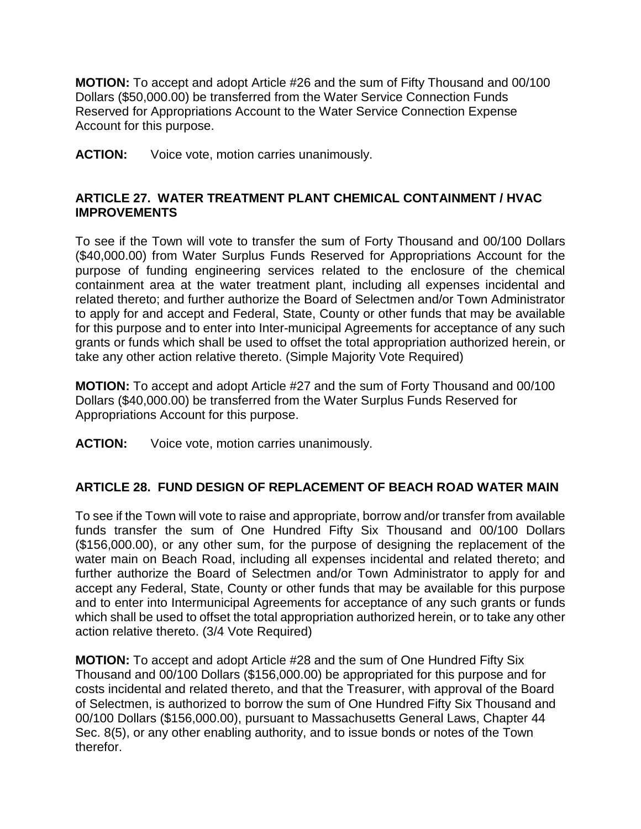**MOTION:** To accept and adopt Article #26 and the sum of Fifty Thousand and 00/100 Dollars (\$50,000.00) be transferred from the Water Service Connection Funds Reserved for Appropriations Account to the Water Service Connection Expense Account for this purpose.

**ACTION:** Voice vote, motion carries unanimously.

## **ARTICLE 27. WATER TREATMENT PLANT CHEMICAL CONTAINMENT / HVAC IMPROVEMENTS**

To see if the Town will vote to transfer the sum of Forty Thousand and 00/100 Dollars (\$40,000.00) from Water Surplus Funds Reserved for Appropriations Account for the purpose of funding engineering services related to the enclosure of the chemical containment area at the water treatment plant, including all expenses incidental and related thereto; and further authorize the Board of Selectmen and/or Town Administrator to apply for and accept and Federal, State, County or other funds that may be available for this purpose and to enter into Inter-municipal Agreements for acceptance of any such grants or funds which shall be used to offset the total appropriation authorized herein, or take any other action relative thereto. (Simple Majority Vote Required)

**MOTION:** To accept and adopt Article #27 and the sum of Forty Thousand and 00/100 Dollars (\$40,000.00) be transferred from the Water Surplus Funds Reserved for Appropriations Account for this purpose.

**ACTION:** Voice vote, motion carries unanimously.

## **ARTICLE 28. FUND DESIGN OF REPLACEMENT OF BEACH ROAD WATER MAIN**

To see if the Town will vote to raise and appropriate, borrow and/or transfer from available funds transfer the sum of One Hundred Fifty Six Thousand and 00/100 Dollars (\$156,000.00), or any other sum, for the purpose of designing the replacement of the water main on Beach Road, including all expenses incidental and related thereto; and further authorize the Board of Selectmen and/or Town Administrator to apply for and accept any Federal, State, County or other funds that may be available for this purpose and to enter into Intermunicipal Agreements for acceptance of any such grants or funds which shall be used to offset the total appropriation authorized herein, or to take any other action relative thereto. (3/4 Vote Required)

**MOTION:** To accept and adopt Article #28 and the sum of One Hundred Fifty Six Thousand and 00/100 Dollars (\$156,000.00) be appropriated for this purpose and for costs incidental and related thereto, and that the Treasurer, with approval of the Board of Selectmen, is authorized to borrow the sum of One Hundred Fifty Six Thousand and 00/100 Dollars (\$156,000.00), pursuant to Massachusetts General Laws, Chapter 44 Sec. 8(5), or any other enabling authority, and to issue bonds or notes of the Town therefor.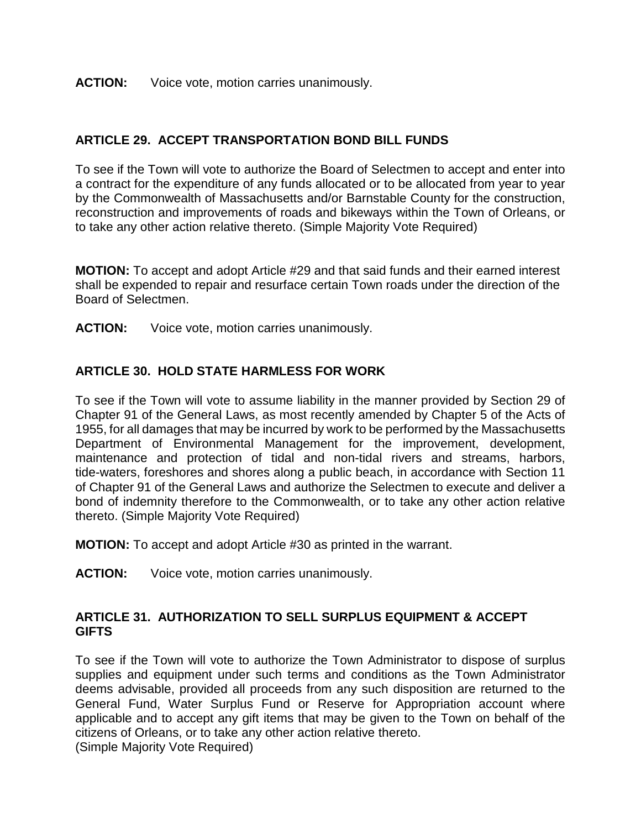#### **ACTION:** Voice vote, motion carries unanimously.

### **ARTICLE 29. ACCEPT TRANSPORTATION BOND BILL FUNDS**

To see if the Town will vote to authorize the Board of Selectmen to accept and enter into a contract for the expenditure of any funds allocated or to be allocated from year to year by the Commonwealth of Massachusetts and/or Barnstable County for the construction, reconstruction and improvements of roads and bikeways within the Town of Orleans, or to take any other action relative thereto. (Simple Majority Vote Required)

**MOTION:** To accept and adopt Article #29 and that said funds and their earned interest shall be expended to repair and resurface certain Town roads under the direction of the Board of Selectmen.

**ACTION:** Voice vote, motion carries unanimously.

### **ARTICLE 30. HOLD STATE HARMLESS FOR WORK**

To see if the Town will vote to assume liability in the manner provided by Section 29 of Chapter 91 of the General Laws, as most recently amended by Chapter 5 of the Acts of 1955, for all damages that may be incurred by work to be performed by the Massachusetts Department of Environmental Management for the improvement, development, maintenance and protection of tidal and non-tidal rivers and streams, harbors, tide-waters, foreshores and shores along a public beach, in accordance with Section 11 of Chapter 91 of the General Laws and authorize the Selectmen to execute and deliver a bond of indemnity therefore to the Commonwealth, or to take any other action relative thereto. (Simple Majority Vote Required)

**MOTION:** To accept and adopt Article #30 as printed in the warrant.

**ACTION:** Voice vote, motion carries unanimously.

#### **ARTICLE 31. AUTHORIZATION TO SELL SURPLUS EQUIPMENT & ACCEPT GIFTS**

To see if the Town will vote to authorize the Town Administrator to dispose of surplus supplies and equipment under such terms and conditions as the Town Administrator deems advisable, provided all proceeds from any such disposition are returned to the General Fund, Water Surplus Fund or Reserve for Appropriation account where applicable and to accept any gift items that may be given to the Town on behalf of the citizens of Orleans, or to take any other action relative thereto.

(Simple Majority Vote Required)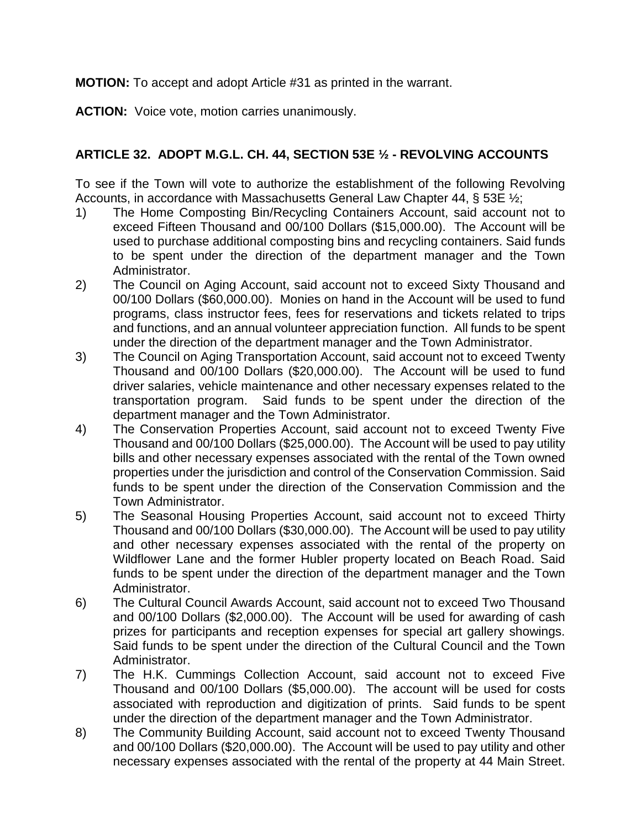**MOTION:** To accept and adopt Article #31 as printed in the warrant.

**ACTION:** Voice vote, motion carries unanimously.

## **ARTICLE 32. ADOPT M.G.L. CH. 44, SECTION 53E ½ - REVOLVING ACCOUNTS**

To see if the Town will vote to authorize the establishment of the following Revolving Accounts, in accordance with Massachusetts General Law Chapter 44, § 53E ½;

- 1) The Home Composting Bin/Recycling Containers Account, said account not to exceed Fifteen Thousand and 00/100 Dollars (\$15,000.00). The Account will be used to purchase additional composting bins and recycling containers. Said funds to be spent under the direction of the department manager and the Town Administrator.
- 2) The Council on Aging Account, said account not to exceed Sixty Thousand and 00/100 Dollars (\$60,000.00). Monies on hand in the Account will be used to fund programs, class instructor fees, fees for reservations and tickets related to trips and functions, and an annual volunteer appreciation function. All funds to be spent under the direction of the department manager and the Town Administrator.
- 3) The Council on Aging Transportation Account, said account not to exceed Twenty Thousand and 00/100 Dollars (\$20,000.00). The Account will be used to fund driver salaries, vehicle maintenance and other necessary expenses related to the transportation program. Said funds to be spent under the direction of the department manager and the Town Administrator.
- 4) The Conservation Properties Account, said account not to exceed Twenty Five Thousand and 00/100 Dollars (\$25,000.00). The Account will be used to pay utility bills and other necessary expenses associated with the rental of the Town owned properties under the jurisdiction and control of the Conservation Commission. Said funds to be spent under the direction of the Conservation Commission and the Town Administrator.
- 5) The Seasonal Housing Properties Account, said account not to exceed Thirty Thousand and 00/100 Dollars (\$30,000.00). The Account will be used to pay utility and other necessary expenses associated with the rental of the property on Wildflower Lane and the former Hubler property located on Beach Road. Said funds to be spent under the direction of the department manager and the Town Administrator.
- 6) The Cultural Council Awards Account, said account not to exceed Two Thousand and 00/100 Dollars (\$2,000.00). The Account will be used for awarding of cash prizes for participants and reception expenses for special art gallery showings. Said funds to be spent under the direction of the Cultural Council and the Town Administrator.
- 7) The H.K. Cummings Collection Account, said account not to exceed Five Thousand and 00/100 Dollars (\$5,000.00). The account will be used for costs associated with reproduction and digitization of prints. Said funds to be spent under the direction of the department manager and the Town Administrator.
- 8) The Community Building Account, said account not to exceed Twenty Thousand and 00/100 Dollars (\$20,000.00). The Account will be used to pay utility and other necessary expenses associated with the rental of the property at 44 Main Street.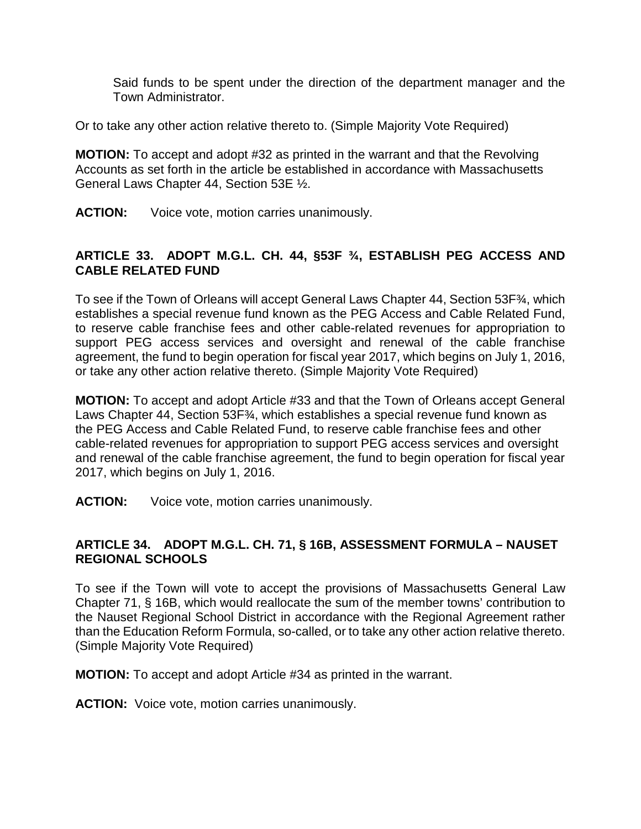Said funds to be spent under the direction of the department manager and the Town Administrator.

Or to take any other action relative thereto to. (Simple Majority Vote Required)

**MOTION:** To accept and adopt #32 as printed in the warrant and that the Revolving Accounts as set forth in the article be established in accordance with Massachusetts General Laws Chapter 44, Section 53E ½.

**ACTION:** Voice vote, motion carries unanimously.

### **ARTICLE 33. ADOPT M.G.L. CH. 44, §53F ¾, ESTABLISH PEG ACCESS AND CABLE RELATED FUND**

To see if the Town of Orleans will accept General Laws Chapter 44, Section 53F¾, which establishes a special revenue fund known as the PEG Access and Cable Related Fund, to reserve cable franchise fees and other cable-related revenues for appropriation to support PEG access services and oversight and renewal of the cable franchise agreement, the fund to begin operation for fiscal year 2017, which begins on July 1, 2016, or take any other action relative thereto. (Simple Majority Vote Required)

**MOTION:** To accept and adopt Article #33 and that the Town of Orleans accept General Laws Chapter 44, Section 53F<sup>3</sup>/<sub>4</sub>, which establishes a special revenue fund known as the PEG Access and Cable Related Fund, to reserve cable franchise fees and other cable-related revenues for appropriation to support PEG access services and oversight and renewal of the cable franchise agreement, the fund to begin operation for fiscal year 2017, which begins on July 1, 2016.

**ACTION:** Voice vote, motion carries unanimously.

### **ARTICLE 34. ADOPT M.G.L. CH. 71, § 16B, ASSESSMENT FORMULA – NAUSET REGIONAL SCHOOLS**

To see if the Town will vote to accept the provisions of Massachusetts General Law Chapter 71, § 16B, which would reallocate the sum of the member towns' contribution to the Nauset Regional School District in accordance with the Regional Agreement rather than the Education Reform Formula, so-called, or to take any other action relative thereto. (Simple Majority Vote Required)

**MOTION:** To accept and adopt Article #34 as printed in the warrant.

**ACTION:** Voice vote, motion carries unanimously.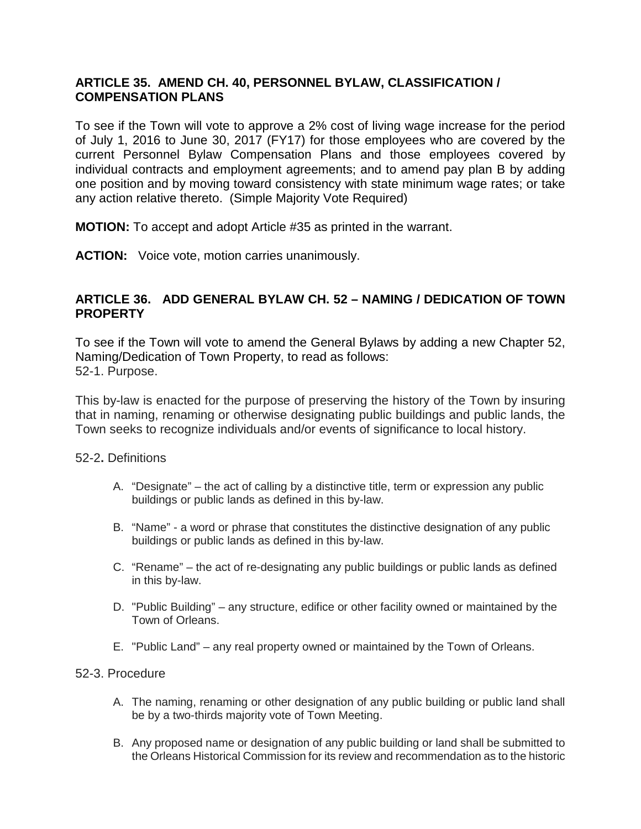### **ARTICLE 35. AMEND CH. 40, PERSONNEL BYLAW, CLASSIFICATION / COMPENSATION PLANS**

To see if the Town will vote to approve a 2% cost of living wage increase for the period of July 1, 2016 to June 30, 2017 (FY17) for those employees who are covered by the current Personnel Bylaw Compensation Plans and those employees covered by individual contracts and employment agreements; and to amend pay plan B by adding one position and by moving toward consistency with state minimum wage rates; or take any action relative thereto. (Simple Majority Vote Required)

**MOTION:** To accept and adopt Article #35 as printed in the warrant.

**ACTION:** Voice vote, motion carries unanimously.

### **ARTICLE 36. ADD GENERAL BYLAW CH. 52 – NAMING / DEDICATION OF TOWN PROPERTY**

To see if the Town will vote to amend the General Bylaws by adding a new Chapter 52, Naming/Dedication of Town Property, to read as follows: 52-1. Purpose.

This by-law is enacted for the purpose of preserving the history of the Town by insuring that in naming, renaming or otherwise designating public buildings and public lands, the Town seeks to recognize individuals and/or events of significance to local history.

52-2**.** Definitions

- A. "Designate" the act of calling by a distinctive title, term or expression any public buildings or public lands as defined in this by-law.
- B. "Name" a word or phrase that constitutes the distinctive designation of any public buildings or public lands as defined in this by-law.
- C. "Rename" the act of re-designating any public buildings or public lands as defined in this by-law.
- D. "Public Building" any structure, edifice or other facility owned or maintained by the Town of Orleans.
- E. "Public Land" any real property owned or maintained by the Town of Orleans.

#### 52-3. Procedure

- A. The naming, renaming or other designation of any public building or public land shall be by a two-thirds majority vote of Town Meeting.
- B. Any proposed name or designation of any public building or land shall be submitted to the Orleans Historical Commission for its review and recommendation as to the historic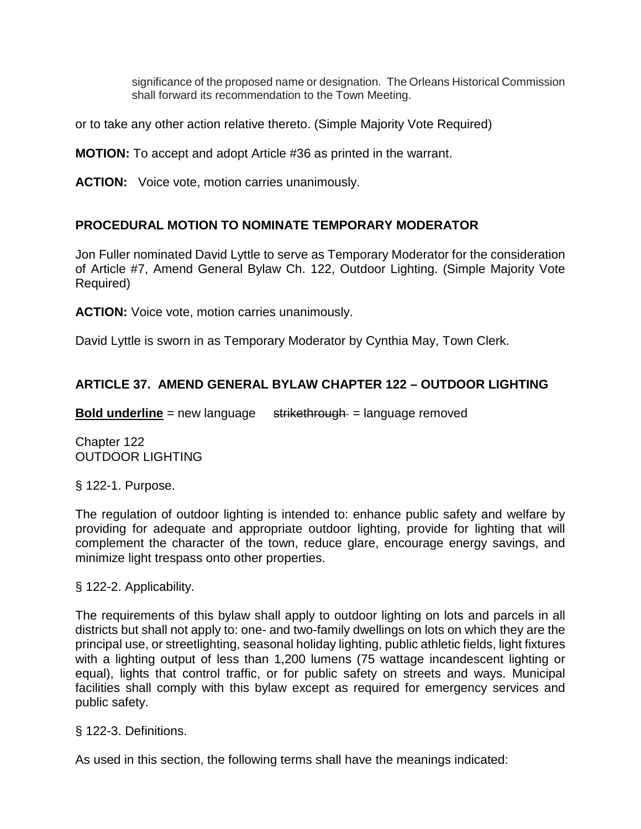significance of the proposed name or designation. The Orleans Historical Commission shall forward its recommendation to the Town Meeting.

or to take any other action relative thereto. (Simple Majority Vote Required)

**MOTION:** To accept and adopt Article #36 as printed in the warrant.

**ACTION:** Voice vote, motion carries unanimously.

### **PROCEDURAL MOTION TO NOMINATE TEMPORARY MODERATOR**

Jon Fuller nominated David Lyttle to serve as Temporary Moderator for the consideration of Article #7, Amend General Bylaw Ch. 122, Outdoor Lighting. (Simple Majority Vote Required)

**ACTION:** Voice vote, motion carries unanimously.

David Lyttle is sworn in as Temporary Moderator by Cynthia May, Town Clerk.

### **ARTICLE 37. AMEND GENERAL BYLAW CHAPTER 122 – OUTDOOR LIGHTING**

**Bold underline** = new language strikethrough = language removed

Chapter 122 OUTDOOR LIGHTING

§ 122-1. Purpose.

The regulation of outdoor lighting is intended to: enhance public safety and welfare by providing for adequate and appropriate outdoor lighting, provide for lighting that will complement the character of the town, reduce glare, encourage energy savings, and minimize light trespass onto other properties.

§ 122-2. Applicability.

The requirements of this bylaw shall apply to outdoor lighting on lots and parcels in all districts but shall not apply to: one- and two-family dwellings on lots on which they are the principal use, or streetlighting, seasonal holiday lighting, public athletic fields, light fixtures with a lighting output of less than 1,200 lumens (75 wattage incandescent lighting or equal), lights that control traffic, or for public safety on streets and ways. Municipal facilities shall comply with this bylaw except as required for emergency services and public safety.

§ 122-3. Definitions.

As used in this section, the following terms shall have the meanings indicated: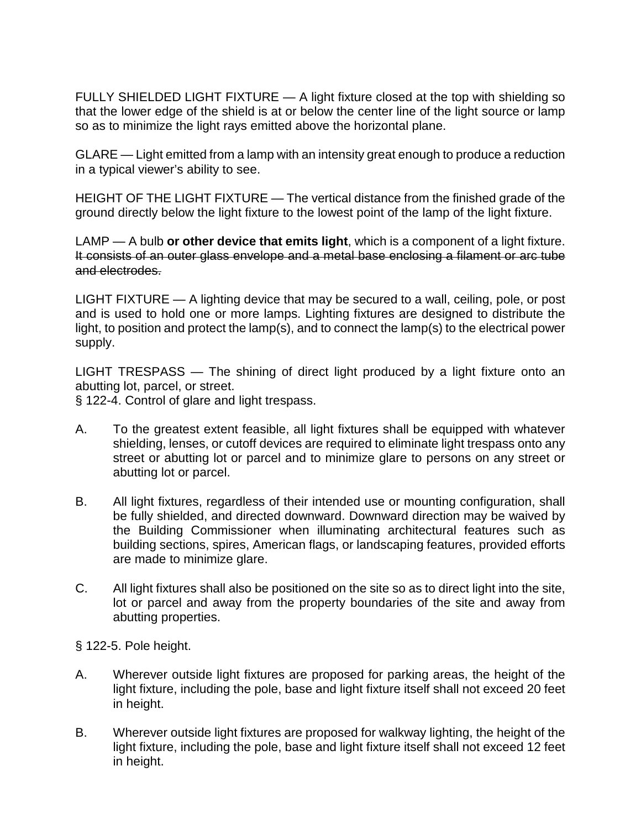FULLY SHIELDED LIGHT FIXTURE — A light fixture closed at the top with shielding so that the lower edge of the shield is at or below the center line of the light source or lamp so as to minimize the light rays emitted above the horizontal plane.

GLARE — Light emitted from a lamp with an intensity great enough to produce a reduction in a typical viewer's ability to see.

HEIGHT OF THE LIGHT FIXTURE — The vertical distance from the finished grade of the ground directly below the light fixture to the lowest point of the lamp of the light fixture.

LAMP — A bulb **or other device that emits light**, which is a component of a light fixture. It consists of an outer glass envelope and a metal base enclosing a filament or arc tube and electrodes.

LIGHT FIXTURE — A lighting device that may be secured to a wall, ceiling, pole, or post and is used to hold one or more lamps. Lighting fixtures are designed to distribute the light, to position and protect the lamp(s), and to connect the lamp(s) to the electrical power supply.

LIGHT TRESPASS — The shining of direct light produced by a light fixture onto an abutting lot, parcel, or street.

§ 122-4. Control of glare and light trespass.

- A. To the greatest extent feasible, all light fixtures shall be equipped with whatever shielding, lenses, or cutoff devices are required to eliminate light trespass onto any street or abutting lot or parcel and to minimize glare to persons on any street or abutting lot or parcel.
- B. All light fixtures, regardless of their intended use or mounting configuration, shall be fully shielded, and directed downward. Downward direction may be waived by the Building Commissioner when illuminating architectural features such as building sections, spires, American flags, or landscaping features, provided efforts are made to minimize glare.
- C. All light fixtures shall also be positioned on the site so as to direct light into the site, lot or parcel and away from the property boundaries of the site and away from abutting properties.

§ 122-5. Pole height.

- A. Wherever outside light fixtures are proposed for parking areas, the height of the light fixture, including the pole, base and light fixture itself shall not exceed 20 feet in height.
- B. Wherever outside light fixtures are proposed for walkway lighting, the height of the light fixture, including the pole, base and light fixture itself shall not exceed 12 feet in height.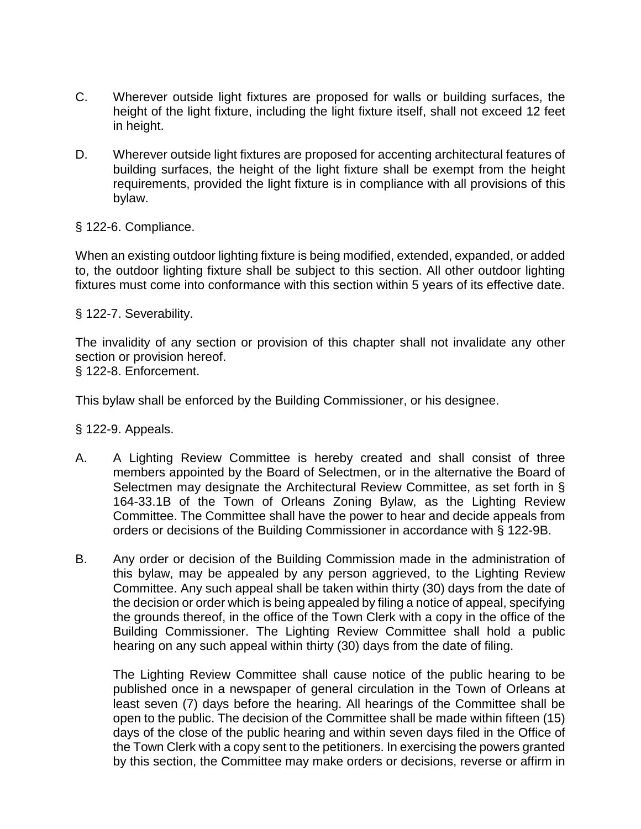- C. Wherever outside light fixtures are proposed for walls or building surfaces, the height of the light fixture, including the light fixture itself, shall not exceed 12 feet in height.
- D. Wherever outside light fixtures are proposed for accenting architectural features of building surfaces, the height of the light fixture shall be exempt from the height requirements, provided the light fixture is in compliance with all provisions of this bylaw.

§ 122-6. Compliance.

When an existing outdoor lighting fixture is being modified, extended, expanded, or added to, the outdoor lighting fixture shall be subject to this section. All other outdoor lighting fixtures must come into conformance with this section within 5 years of its effective date.

§ 122-7. Severability.

The invalidity of any section or provision of this chapter shall not invalidate any other section or provision hereof.

§ 122-8. Enforcement.

This bylaw shall be enforced by the Building Commissioner, or his designee.

§ 122-9. Appeals.

- A. A Lighting Review Committee is hereby created and shall consist of three members appointed by the Board of Selectmen, or in the alternative the Board of Selectmen may designate the Architectural Review Committee, as set forth in § 164-33.1B of the Town of Orleans Zoning Bylaw, as the Lighting Review Committee. The Committee shall have the power to hear and decide appeals from orders or decisions of the Building Commissioner in accordance with § 122-9B.
- B. Any order or decision of the Building Commission made in the administration of this bylaw, may be appealed by any person aggrieved, to the Lighting Review Committee. Any such appeal shall be taken within thirty (30) days from the date of the decision or order which is being appealed by filing a notice of appeal, specifying the grounds thereof, in the office of the Town Clerk with a copy in the office of the Building Commissioner. The Lighting Review Committee shall hold a public hearing on any such appeal within thirty (30) days from the date of filing.

The Lighting Review Committee shall cause notice of the public hearing to be published once in a newspaper of general circulation in the Town of Orleans at least seven (7) days before the hearing. All hearings of the Committee shall be open to the public. The decision of the Committee shall be made within fifteen (15) days of the close of the public hearing and within seven days filed in the Office of the Town Clerk with a copy sent to the petitioners. In exercising the powers granted by this section, the Committee may make orders or decisions, reverse or affirm in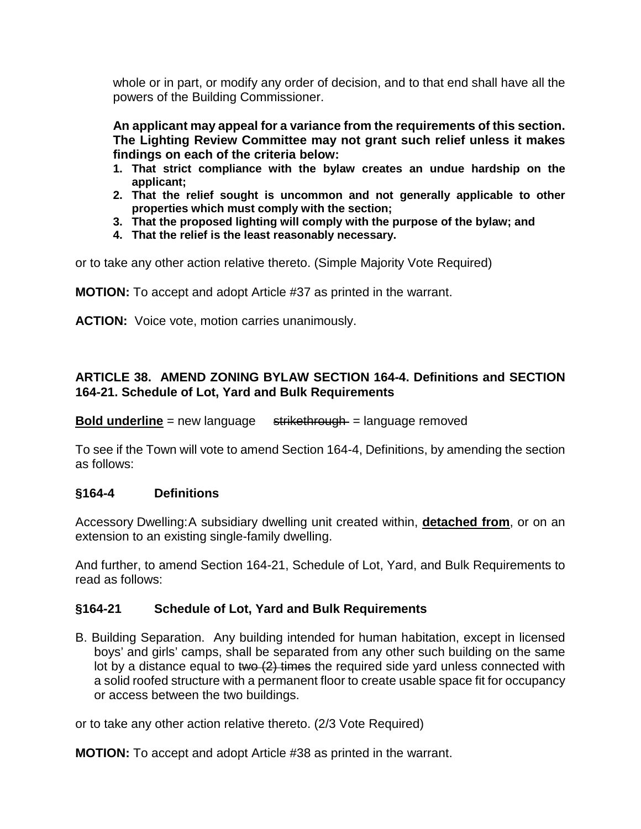whole or in part, or modify any order of decision, and to that end shall have all the powers of the Building Commissioner.

**An applicant may appeal for a variance from the requirements of this section. The Lighting Review Committee may not grant such relief unless it makes findings on each of the criteria below:**

- **1. That strict compliance with the bylaw creates an undue hardship on the applicant;**
- **2. That the relief sought is uncommon and not generally applicable to other properties which must comply with the section;**
- **3. That the proposed lighting will comply with the purpose of the bylaw; and**
- **4. That the relief is the least reasonably necessary.**

or to take any other action relative thereto. (Simple Majority Vote Required)

**MOTION:** To accept and adopt Article #37 as printed in the warrant.

**ACTION:** Voice vote, motion carries unanimously.

## **ARTICLE 38. AMEND ZONING BYLAW SECTION 164-4. Definitions and SECTION 164-21. Schedule of Lot, Yard and Bulk Requirements**

**Bold underline** = new language strikethrough = language removed

To see if the Town will vote to amend Section 164-4, Definitions, by amending the section as follows:

### **§164-4 Definitions**

Accessory Dwelling:A subsidiary dwelling unit created within, **detached from**, or on an extension to an existing single-family dwelling.

And further, to amend Section 164-21, Schedule of Lot, Yard, and Bulk Requirements to read as follows:

## **§164-21 Schedule of Lot, Yard and Bulk Requirements**

B. Building Separation. Any building intended for human habitation, except in licensed boys' and girls' camps, shall be separated from any other such building on the same lot by a distance equal to two  $(2)$  times the required side yard unless connected with a solid roofed structure with a permanent floor to create usable space fit for occupancy or access between the two buildings.

or to take any other action relative thereto. (2/3 Vote Required)

**MOTION:** To accept and adopt Article #38 as printed in the warrant.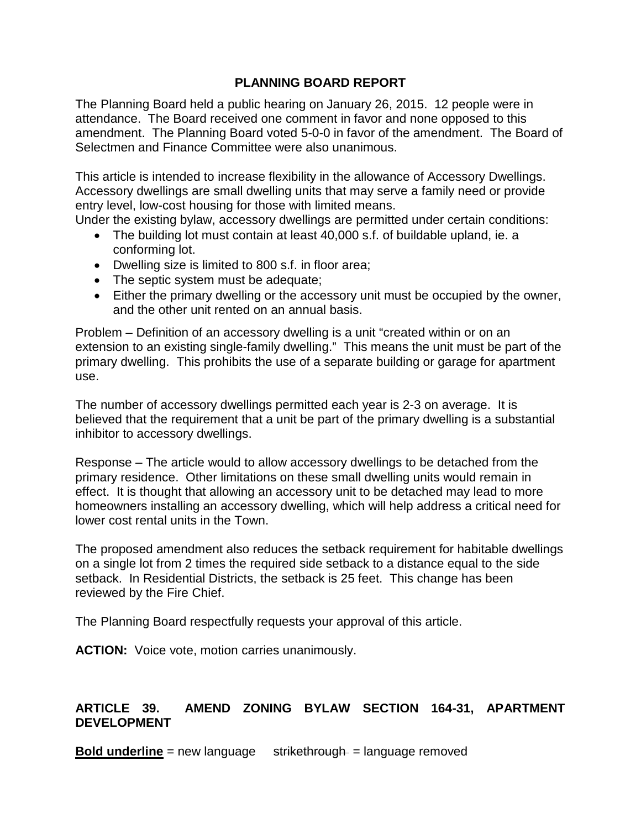### **PLANNING BOARD REPORT**

The Planning Board held a public hearing on January 26, 2015. 12 people were in attendance. The Board received one comment in favor and none opposed to this amendment. The Planning Board voted 5-0-0 in favor of the amendment. The Board of Selectmen and Finance Committee were also unanimous.

This article is intended to increase flexibility in the allowance of Accessory Dwellings. Accessory dwellings are small dwelling units that may serve a family need or provide entry level, low-cost housing for those with limited means.

Under the existing bylaw, accessory dwellings are permitted under certain conditions:

- The building lot must contain at least 40,000 s.f. of buildable upland, ie. a conforming lot.
- Dwelling size is limited to 800 s.f. in floor area;
- The septic system must be adequate;
- Either the primary dwelling or the accessory unit must be occupied by the owner, and the other unit rented on an annual basis.

Problem – Definition of an accessory dwelling is a unit "created within or on an extension to an existing single-family dwelling." This means the unit must be part of the primary dwelling. This prohibits the use of a separate building or garage for apartment use.

The number of accessory dwellings permitted each year is 2-3 on average. It is believed that the requirement that a unit be part of the primary dwelling is a substantial inhibitor to accessory dwellings.

Response – The article would to allow accessory dwellings to be detached from the primary residence. Other limitations on these small dwelling units would remain in effect. It is thought that allowing an accessory unit to be detached may lead to more homeowners installing an accessory dwelling, which will help address a critical need for lower cost rental units in the Town.

The proposed amendment also reduces the setback requirement for habitable dwellings on a single lot from 2 times the required side setback to a distance equal to the side setback. In Residential Districts, the setback is 25 feet. This change has been reviewed by the Fire Chief.

The Planning Board respectfully requests your approval of this article.

**ACTION:** Voice vote, motion carries unanimously.

### **ARTICLE 39. AMEND ZONING BYLAW SECTION 164-31, APARTMENT DEVELOPMENT**

**Bold underline** = new language strikethrough = language removed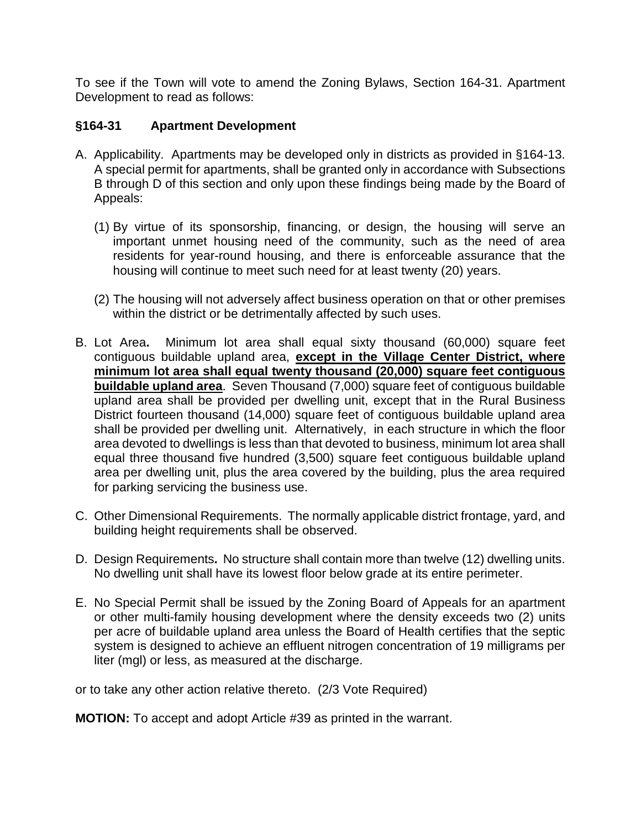To see if the Town will vote to amend the Zoning Bylaws, Section 164-31. Apartment Development to read as follows:

## **§164-31 Apartment Development**

- A. Applicability.Apartments may be developed only in districts as provided in §164-13. A special permit for apartments, shall be granted only in accordance with Subsections B through D of this section and only upon these findings being made by the Board of Appeals:
	- (1) By virtue of its sponsorship, financing, or design, the housing will serve an important unmet housing need of the community, such as the need of area residents for year-round housing, and there is enforceable assurance that the housing will continue to meet such need for at least twenty (20) years.
	- (2) The housing will not adversely affect business operation on that or other premises within the district or be detrimentally affected by such uses.
- B. Lot Area**.** Minimum lot area shall equal sixty thousand (60,000) square feet contiguous buildable upland area, **except in the Village Center District, where minimum lot area shall equal twenty thousand (20,000) square feet contiguous buildable upland area**. Seven Thousand (7,000) square feet of contiguous buildable upland area shall be provided per dwelling unit, except that in the Rural Business District fourteen thousand (14,000) square feet of contiguous buildable upland area shall be provided per dwelling unit. Alternatively, in each structure in which the floor area devoted to dwellings is less than that devoted to business, minimum lot area shall equal three thousand five hundred (3,500) square feet contiguous buildable upland area per dwelling unit, plus the area covered by the building, plus the area required for parking servicing the business use.
- C. Other Dimensional Requirements.The normally applicable district frontage, yard, and building height requirements shall be observed.
- D. Design Requirements**.** No structure shall contain more than twelve (12) dwelling units. No dwelling unit shall have its lowest floor below grade at its entire perimeter.
- E. No Special Permit shall be issued by the Zoning Board of Appeals for an apartment or other multi-family housing development where the density exceeds two (2) units per acre of buildable upland area unless the Board of Health certifies that the septic system is designed to achieve an effluent nitrogen concentration of 19 milligrams per liter (mgl) or less, as measured at the discharge.

or to take any other action relative thereto. (2/3 Vote Required)

**MOTION:** To accept and adopt Article #39 as printed in the warrant.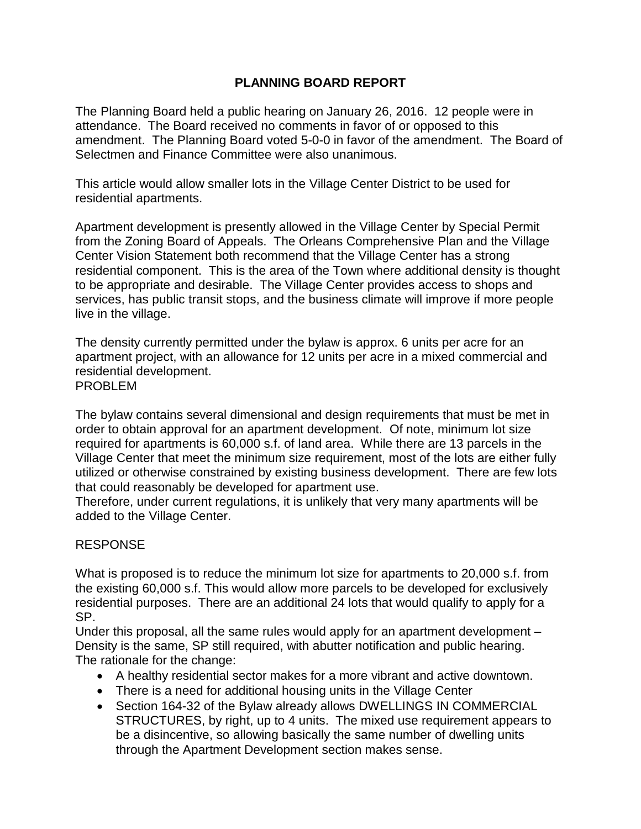## **PLANNING BOARD REPORT**

The Planning Board held a public hearing on January 26, 2016. 12 people were in attendance. The Board received no comments in favor of or opposed to this amendment. The Planning Board voted 5-0-0 in favor of the amendment. The Board of Selectmen and Finance Committee were also unanimous.

This article would allow smaller lots in the Village Center District to be used for residential apartments.

Apartment development is presently allowed in the Village Center by Special Permit from the Zoning Board of Appeals. The Orleans Comprehensive Plan and the Village Center Vision Statement both recommend that the Village Center has a strong residential component. This is the area of the Town where additional density is thought to be appropriate and desirable. The Village Center provides access to shops and services, has public transit stops, and the business climate will improve if more people live in the village.

The density currently permitted under the bylaw is approx. 6 units per acre for an apartment project, with an allowance for 12 units per acre in a mixed commercial and residential development.

PROBLEM

The bylaw contains several dimensional and design requirements that must be met in order to obtain approval for an apartment development. Of note, minimum lot size required for apartments is 60,000 s.f. of land area. While there are 13 parcels in the Village Center that meet the minimum size requirement, most of the lots are either fully utilized or otherwise constrained by existing business development. There are few lots that could reasonably be developed for apartment use.

Therefore, under current regulations, it is unlikely that very many apartments will be added to the Village Center.

### RESPONSE

What is proposed is to reduce the minimum lot size for apartments to 20,000 s.f. from the existing 60,000 s.f. This would allow more parcels to be developed for exclusively residential purposes. There are an additional 24 lots that would qualify to apply for a SP.

Under this proposal, all the same rules would apply for an apartment development – Density is the same, SP still required, with abutter notification and public hearing. The rationale for the change:

- A healthy residential sector makes for a more vibrant and active downtown.
- There is a need for additional housing units in the Village Center
- Section 164-32 of the Bylaw already allows DWELLINGS IN COMMERCIAL STRUCTURES, by right, up to 4 units. The mixed use requirement appears to be a disincentive, so allowing basically the same number of dwelling units through the Apartment Development section makes sense.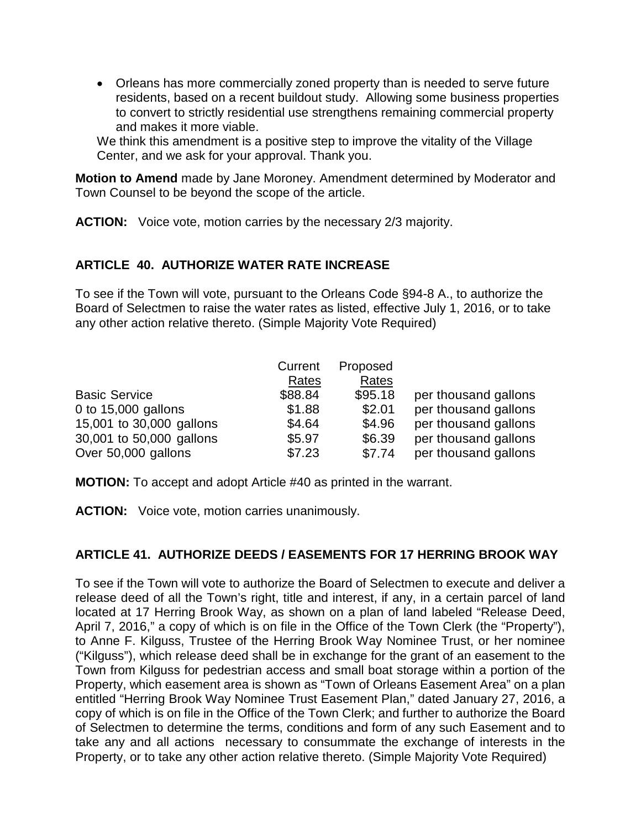• Orleans has more commercially zoned property than is needed to serve future residents, based on a recent buildout study. Allowing some business properties to convert to strictly residential use strengthens remaining commercial property and makes it more viable.

We think this amendment is a positive step to improve the vitality of the Village Center, and we ask for your approval. Thank you.

**Motion to Amend** made by Jane Moroney. Amendment determined by Moderator and Town Counsel to be beyond the scope of the article.

**ACTION:** Voice vote, motion carries by the necessary 2/3 majority.

### **ARTICLE 40. AUTHORIZE WATER RATE INCREASE**

To see if the Town will vote, pursuant to the Orleans Code §94-8 A., to authorize the Board of Selectmen to raise the water rates as listed, effective July 1, 2016, or to take any other action relative thereto. (Simple Majority Vote Required)

|                          | Current | Proposed |                      |
|--------------------------|---------|----------|----------------------|
|                          | Rates   | Rates    |                      |
| <b>Basic Service</b>     | \$88.84 | \$95.18  | per thousand gallons |
| 0 to 15,000 gallons      | \$1.88  | \$2.01   | per thousand gallons |
| 15,001 to 30,000 gallons | \$4.64  | \$4.96   | per thousand gallons |
| 30,001 to 50,000 gallons | \$5.97  | \$6.39   | per thousand gallons |
| Over 50,000 gallons      | \$7.23  | \$7.74   | per thousand gallons |

**MOTION:** To accept and adopt Article #40 as printed in the warrant.

**ACTION:** Voice vote, motion carries unanimously.

## **ARTICLE 41. AUTHORIZE DEEDS / EASEMENTS FOR 17 HERRING BROOK WAY**

To see if the Town will vote to authorize the Board of Selectmen to execute and deliver a release deed of all the Town's right, title and interest, if any, in a certain parcel of land located at 17 Herring Brook Way, as shown on a plan of land labeled "Release Deed, April 7, 2016," a copy of which is on file in the Office of the Town Clerk (the "Property"), to Anne F. Kilguss, Trustee of the Herring Brook Way Nominee Trust, or her nominee ("Kilguss"), which release deed shall be in exchange for the grant of an easement to the Town from Kilguss for pedestrian access and small boat storage within a portion of the Property, which easement area is shown as "Town of Orleans Easement Area" on a plan entitled "Herring Brook Way Nominee Trust Easement Plan," dated January 27, 2016, a copy of which is on file in the Office of the Town Clerk; and further to authorize the Board of Selectmen to determine the terms, conditions and form of any such Easement and to take any and all actions necessary to consummate the exchange of interests in the Property, or to take any other action relative thereto. (Simple Majority Vote Required)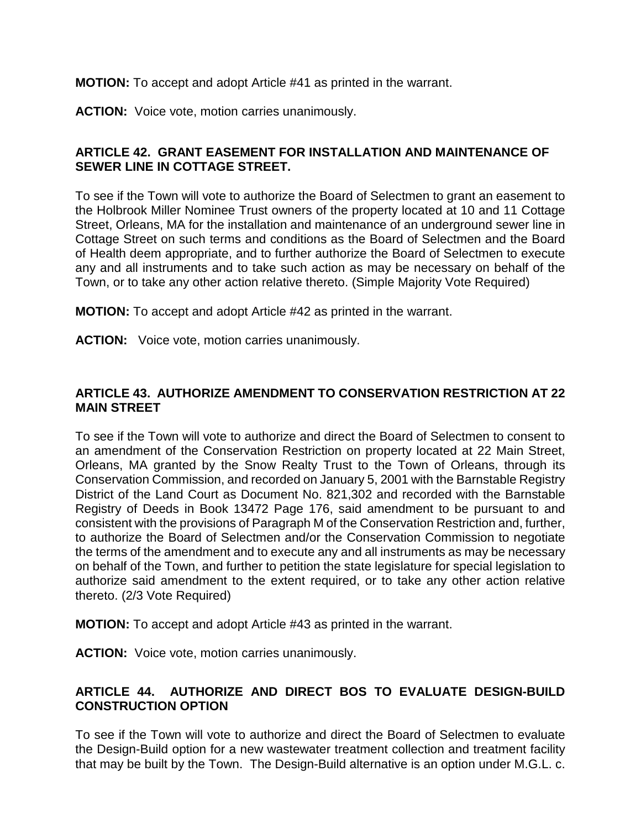**MOTION:** To accept and adopt Article #41 as printed in the warrant.

**ACTION:** Voice vote, motion carries unanimously.

### **ARTICLE 42. GRANT EASEMENT FOR INSTALLATION AND MAINTENANCE OF SEWER LINE IN COTTAGE STREET.**

To see if the Town will vote to authorize the Board of Selectmen to grant an easement to the Holbrook Miller Nominee Trust owners of the property located at 10 and 11 Cottage Street, Orleans, MA for the installation and maintenance of an underground sewer line in Cottage Street on such terms and conditions as the Board of Selectmen and the Board of Health deem appropriate, and to further authorize the Board of Selectmen to execute any and all instruments and to take such action as may be necessary on behalf of the Town, or to take any other action relative thereto. (Simple Majority Vote Required)

**MOTION:** To accept and adopt Article #42 as printed in the warrant.

**ACTION:** Voice vote, motion carries unanimously.

## **ARTICLE 43. AUTHORIZE AMENDMENT TO CONSERVATION RESTRICTION AT 22 MAIN STREET**

To see if the Town will vote to authorize and direct the Board of Selectmen to consent to an amendment of the Conservation Restriction on property located at 22 Main Street, Orleans, MA granted by the Snow Realty Trust to the Town of Orleans, through its Conservation Commission, and recorded on January 5, 2001 with the Barnstable Registry District of the Land Court as Document No. 821,302 and recorded with the Barnstable Registry of Deeds in Book 13472 Page 176, said amendment to be pursuant to and consistent with the provisions of Paragraph M of the Conservation Restriction and, further, to authorize the Board of Selectmen and/or the Conservation Commission to negotiate the terms of the amendment and to execute any and all instruments as may be necessary on behalf of the Town, and further to petition the state legislature for special legislation to authorize said amendment to the extent required, or to take any other action relative thereto. (2/3 Vote Required)

**MOTION:** To accept and adopt Article #43 as printed in the warrant.

**ACTION:** Voice vote, motion carries unanimously.

### **ARTICLE 44. AUTHORIZE AND DIRECT BOS TO EVALUATE DESIGN-BUILD CONSTRUCTION OPTION**

To see if the Town will vote to authorize and direct the Board of Selectmen to evaluate the Design-Build option for a new wastewater treatment collection and treatment facility that may be built by the Town. The Design-Build alternative is an option under M.G.L. c.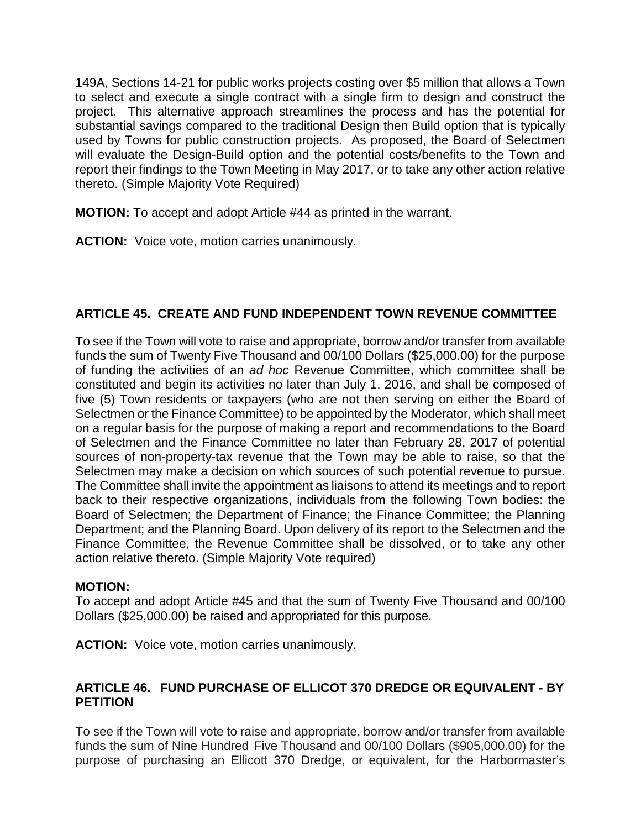149A, Sections 14-21 for public works projects costing over \$5 million that allows a Town to select and execute a single contract with a single firm to design and construct the project. This alternative approach streamlines the process and has the potential for substantial savings compared to the traditional Design then Build option that is typically used by Towns for public construction projects. As proposed, the Board of Selectmen will evaluate the Design-Build option and the potential costs/benefits to the Town and report their findings to the Town Meeting in May 2017, or to take any other action relative thereto. (Simple Majority Vote Required)

**MOTION:** To accept and adopt Article #44 as printed in the warrant.

**ACTION:** Voice vote, motion carries unanimously.

## **ARTICLE 45. CREATE AND FUND INDEPENDENT TOWN REVENUE COMMITTEE**

To see if the Town will vote to raise and appropriate, borrow and/or transfer from available funds the sum of Twenty Five Thousand and 00/100 Dollars (\$25,000.00) for the purpose of funding the activities of an *ad hoc* Revenue Committee, which committee shall be constituted and begin its activities no later than July 1, 2016, and shall be composed of five (5) Town residents or taxpayers (who are not then serving on either the Board of Selectmen or the Finance Committee) to be appointed by the Moderator, which shall meet on a regular basis for the purpose of making a report and recommendations to the Board of Selectmen and the Finance Committee no later than February 28, 2017 of potential sources of non-property-tax revenue that the Town may be able to raise, so that the Selectmen may make a decision on which sources of such potential revenue to pursue. The Committee shall invite the appointment as liaisons to attend its meetings and to report back to their respective organizations, individuals from the following Town bodies: the Board of Selectmen; the Department of Finance; the Finance Committee; the Planning Department; and the Planning Board. Upon delivery of its report to the Selectmen and the Finance Committee, the Revenue Committee shall be dissolved, or to take any other action relative thereto. (Simple Majority Vote required)

### **MOTION:**

To accept and adopt Article #45 and that the sum of Twenty Five Thousand and 00/100 Dollars (\$25,000.00) be raised and appropriated for this purpose.

**ACTION:** Voice vote, motion carries unanimously.

### **ARTICLE 46. FUND PURCHASE OF ELLICOT 370 DREDGE OR EQUIVALENT - BY PETITION**

To see if the Town will vote to raise and appropriate, borrow and/or transfer from available funds the sum of Nine Hundred Five Thousand and 00/100 Dollars (\$905,000.00) for the purpose of purchasing an Ellicott 370 Dredge, or equivalent, for the Harbormaster's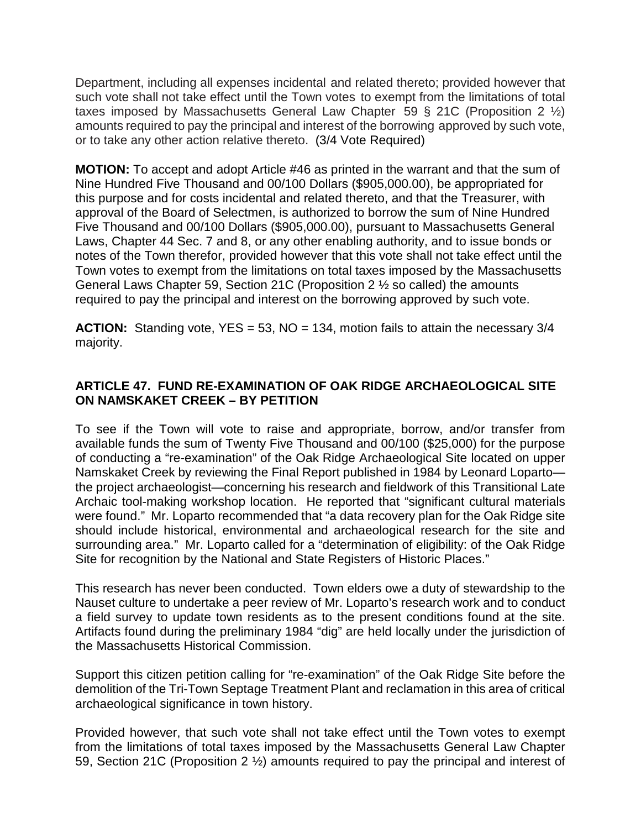Department, including all expenses incidental and related thereto; provided however that such vote shall not take effect until the Town votes to exempt from the limitations of total taxes imposed by Massachusetts General Law Chapter 59 § 21C (Proposition 2  $\frac{1}{2}$ ) amounts required to pay the principal and interest of the borrowing approved by such vote, or to take any other action relative thereto. (3/4 Vote Required)

**MOTION:** To accept and adopt Article #46 as printed in the warrant and that the sum of Nine Hundred Five Thousand and 00/100 Dollars (\$905,000.00), be appropriated for this purpose and for costs incidental and related thereto, and that the Treasurer, with approval of the Board of Selectmen, is authorized to borrow the sum of Nine Hundred Five Thousand and 00/100 Dollars (\$905,000.00), pursuant to Massachusetts General Laws, Chapter 44 Sec. 7 and 8, or any other enabling authority, and to issue bonds or notes of the Town therefor, provided however that this vote shall not take effect until the Town votes to exempt from the limitations on total taxes imposed by the Massachusetts General Laws Chapter 59, Section 21C (Proposition 2 ½ so called) the amounts required to pay the principal and interest on the borrowing approved by such vote.

**ACTION:** Standing vote, YES = 53, NO = 134, motion fails to attain the necessary 3/4 majority.

## **ARTICLE 47. FUND RE-EXAMINATION OF OAK RIDGE ARCHAEOLOGICAL SITE ON NAMSKAKET CREEK – BY PETITION**

To see if the Town will vote to raise and appropriate, borrow, and/or transfer from available funds the sum of Twenty Five Thousand and 00/100 (\$25,000) for the purpose of conducting a "re-examination" of the Oak Ridge Archaeological Site located on upper Namskaket Creek by reviewing the Final Report published in 1984 by Leonard Loparto the project archaeologist—concerning his research and fieldwork of this Transitional Late Archaic tool-making workshop location. He reported that "significant cultural materials were found." Mr. Loparto recommended that "a data recovery plan for the Oak Ridge site should include historical, environmental and archaeological research for the site and surrounding area." Mr. Loparto called for a "determination of eligibility: of the Oak Ridge Site for recognition by the National and State Registers of Historic Places."

This research has never been conducted. Town elders owe a duty of stewardship to the Nauset culture to undertake a peer review of Mr. Loparto's research work and to conduct a field survey to update town residents as to the present conditions found at the site. Artifacts found during the preliminary 1984 "dig" are held locally under the jurisdiction of the Massachusetts Historical Commission.

Support this citizen petition calling for "re-examination" of the Oak Ridge Site before the demolition of the Tri-Town Septage Treatment Plant and reclamation in this area of critical archaeological significance in town history.

Provided however, that such vote shall not take effect until the Town votes to exempt from the limitations of total taxes imposed by the Massachusetts General Law Chapter 59, Section 21C (Proposition 2 ½) amounts required to pay the principal and interest of